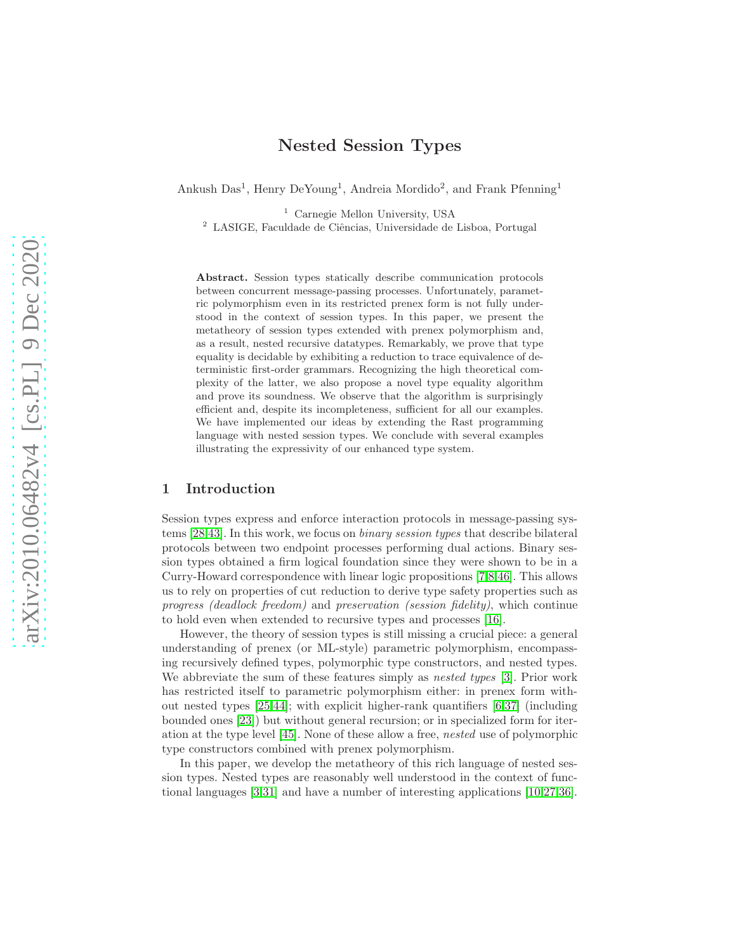# Nested Session Types

Ankush Das<sup>1</sup>, Henry DeYoung<sup>1</sup>, Andreia Mordido<sup>2</sup>, and Frank Pfenning<sup>1</sup>

<sup>1</sup> Carnegie Mellon University, USA

<sup>2</sup> LASIGE, Faculdade de Ciências, Universidade de Lisboa, Portugal

Abstract. Session types statically describe communication protocols between concurrent message-passing processes. Unfortunately, parametric polymorphism even in its restricted prenex form is not fully understood in the context of session types. In this paper, we present the metatheory of session types extended with prenex polymorphism and, as a result, nested recursive datatypes. Remarkably, we prove that type equality is decidable by exhibiting a reduction to trace equivalence of deterministic first-order grammars. Recognizing the high theoretical complexity of the latter, we also propose a novel type equality algorithm and prove its soundness. We observe that the algorithm is surprisingly efficient and, despite its incompleteness, sufficient for all our examples. We have implemented our ideas by extending the Rast programming language with nested session types. We conclude with several examples illustrating the expressivity of our enhanced type system.

## 1 Introduction

Session types express and enforce interaction protocols in message-passing systems [\[28](#page-33-0)[,43\]](#page-34-0). In this work, we focus on binary session types that describe bilateral protocols between two endpoint processes performing dual actions. Binary session types obtained a firm logical foundation since they were shown to be in a Curry-Howard correspondence with linear logic propositions [\[7,](#page-32-0)[8](#page-32-1)[,46\]](#page-34-1). This allows us to rely on properties of cut reduction to derive type safety properties such as progress (deadlock freedom) and preservation (session fidelity), which continue to hold even when extended to recursive types and processes [\[16\]](#page-32-2).

However, the theory of session types is still missing a crucial piece: a general understanding of prenex (or ML-style) parametric polymorphism, encompassing recursively defined types, polymorphic type constructors, and nested types. We abbreviate the sum of these features simply as *nested types* [\[3\]](#page-32-3). Prior work has restricted itself to parametric polymorphism either: in prenex form without nested types [\[25](#page-33-1)[,44\]](#page-34-2); with explicit higher-rank quantifiers [\[6](#page-32-4)[,37\]](#page-34-3) (including bounded ones [\[23\]](#page-33-2)) but without general recursion; or in specialized form for iteration at the type level [\[45\]](#page-34-4). None of these allow a free, nested use of polymorphic type constructors combined with prenex polymorphism.

In this paper, we develop the metatheory of this rich language of nested session types. Nested types are reasonably well understood in the context of functional languages [\[3,](#page-32-3)[31\]](#page-33-3) and have a number of interesting applications [\[10](#page-32-5)[,27](#page-33-4)[,36\]](#page-34-5).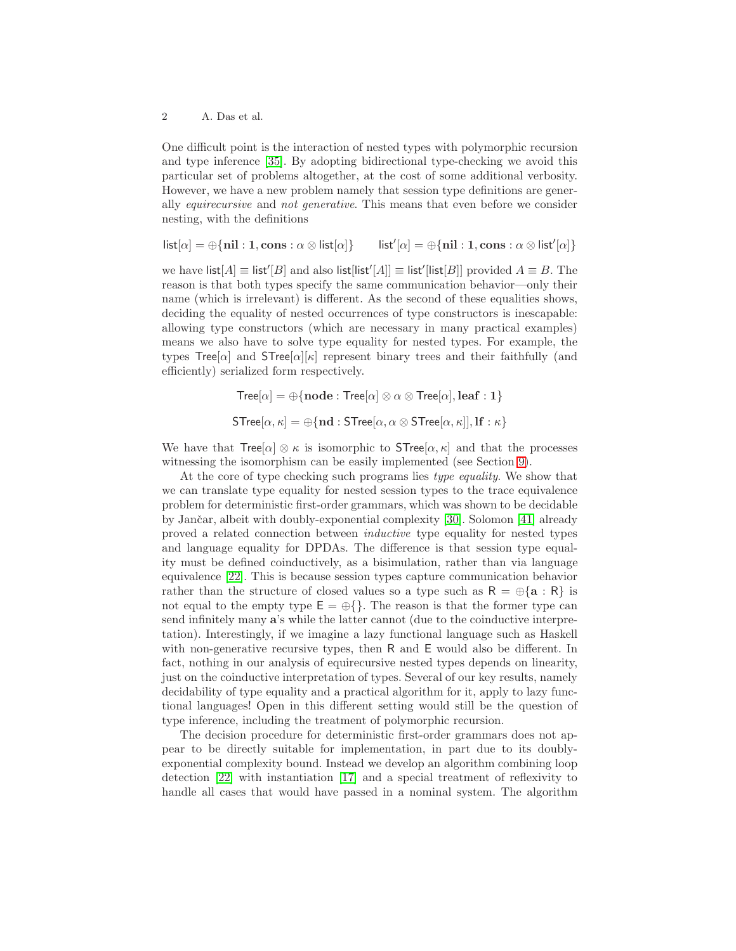One difficult point is the interaction of nested types with polymorphic recursion and type inference [\[35\]](#page-34-6). By adopting bidirectional type-checking we avoid this particular set of problems altogether, at the cost of some additional verbosity. However, we have a new problem namely that session type definitions are generally equirecursive and not generative. This means that even before we consider nesting, with the definitions

$$
list[\alpha] = \bigoplus \{ \mathbf{nil} : 1, \mathbf{cons} : \alpha \otimes \mathsf{list}[\alpha] \} \qquad \mathsf{list}'[\alpha] = \bigoplus \{ \mathbf{nil} : 1, \mathbf{cons} : \alpha \otimes \mathsf{list}'[\alpha] \}
$$

we have  $\textsf{list}[A] \equiv \textsf{list'}[B]$  and also  $\textsf{list}[\textsf{list'}[A]] \equiv \textsf{list'}[\textsf{list}[B]]$  provided  $A \equiv B$ . The reason is that both types specify the same communication behavior—only their name (which is irrelevant) is different. As the second of these equalities shows, deciding the equality of nested occurrences of type constructors is inescapable: allowing type constructors (which are necessary in many practical examples) means we also have to solve type equality for nested types. For example, the types  $Tree[\alpha]$  and  $STree[\alpha][\kappa]$  represent binary trees and their faithfully (and efficiently) serialized form respectively.

$$
\begin{aligned} \text{Tree}[\alpha] = \oplus \{\textbf{node}: \text{Tree}[\alpha] \otimes \alpha \otimes \text{Tree}[\alpha], \textbf{leaf}: 1\} \\ \text{STree}[\alpha, \kappa] = \oplus \{\textbf{nd}: \text{STree}[\alpha, \alpha \otimes \text{STree}[\alpha, \kappa]], \textbf{If}: \kappa\} \end{aligned}
$$

We have that  $Tree[\alpha] \otimes \kappa$  is isomorphic to  $STree[\alpha, \kappa]$  and that the processes witnessing the isomorphism can be easily implemented (see Section [9\)](#page-26-0).

At the core of type checking such programs lies *type equality*. We show that we can translate type equality for nested session types to the trace equivalence problem for deterministic first-order grammars, which was shown to be decidable by Janˇcar, albeit with doubly-exponential complexity [\[30\]](#page-33-5). Solomon [\[41\]](#page-34-7) already proved a related connection between inductive type equality for nested types and language equality for DPDAs. The difference is that session type equality must be defined coinductively, as a bisimulation, rather than via language equivalence [\[22\]](#page-33-6). This is because session types capture communication behavior rather than the structure of closed values so a type such as  $R = \bigoplus \{a : R\}$  is not equal to the empty type  $E = \bigoplus \{\}.$  The reason is that the former type can send infinitely many a's while the latter cannot (due to the coinductive interpretation). Interestingly, if we imagine a lazy functional language such as Haskell with non-generative recursive types, then R and E would also be different. In fact, nothing in our analysis of equirecursive nested types depends on linearity, just on the coinductive interpretation of types. Several of our key results, namely decidability of type equality and a practical algorithm for it, apply to lazy functional languages! Open in this different setting would still be the question of type inference, including the treatment of polymorphic recursion.

The decision procedure for deterministic first-order grammars does not appear to be directly suitable for implementation, in part due to its doublyexponential complexity bound. Instead we develop an algorithm combining loop detection [\[22\]](#page-33-6) with instantiation [\[17\]](#page-33-7) and a special treatment of reflexivity to handle all cases that would have passed in a nominal system. The algorithm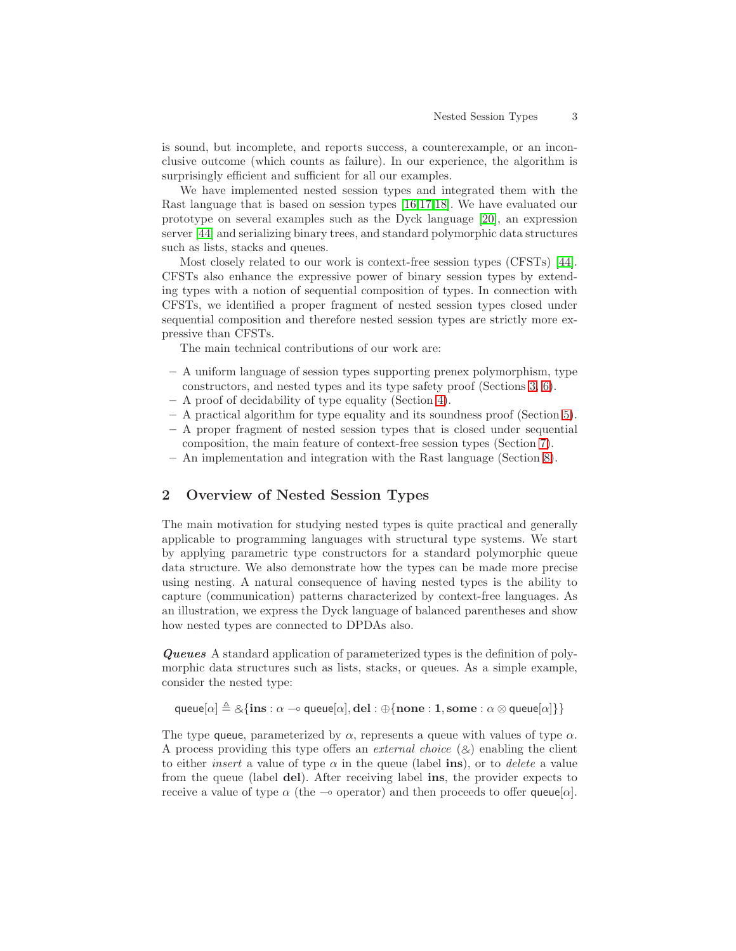is sound, but incomplete, and reports success, a counterexample, or an inconclusive outcome (which counts as failure). In our experience, the algorithm is surprisingly efficient and sufficient for all our examples.

We have implemented nested session types and integrated them with the Rast language that is based on session types [\[16](#page-32-2)[,17](#page-33-7)[,18\]](#page-33-8). We have evaluated our prototype on several examples such as the Dyck language [\[20\]](#page-33-9), an expression server [\[44\]](#page-34-2) and serializing binary trees, and standard polymorphic data structures such as lists, stacks and queues.

Most closely related to our work is context-free session types (CFSTs) [\[44\]](#page-34-2). CFSTs also enhance the expressive power of binary session types by extending types with a notion of sequential composition of types. In connection with CFSTs, we identified a proper fragment of nested session types closed under sequential composition and therefore nested session types are strictly more expressive than CFSTs.

The main technical contributions of our work are:

- A uniform language of session types supporting prenex polymorphism, type constructors, and nested types and its type safety proof (Sections [3,](#page-6-0) [6\)](#page-18-0).
- A proof of decidability of type equality (Section [4\)](#page-7-0).
- A practical algorithm for type equality and its soundness proof (Section [5\)](#page-13-0).
- A proper fragment of nested session types that is closed under sequential composition, the main feature of context-free session types (Section [7\)](#page-23-0).
- An implementation and integration with the Rast language (Section [8\)](#page-25-0).

# <span id="page-2-0"></span>2 Overview of Nested Session Types

The main motivation for studying nested types is quite practical and generally applicable to programming languages with structural type systems. We start by applying parametric type constructors for a standard polymorphic queue data structure. We also demonstrate how the types can be made more precise using nesting. A natural consequence of having nested types is the ability to capture (communication) patterns characterized by context-free languages. As an illustration, we express the Dyck language of balanced parentheses and show how nested types are connected to DPDAs also.

Queues A standard application of parameterized types is the definition of polymorphic data structures such as lists, stacks, or queues. As a simple example, consider the nested type:

```
queue[\alpha] \triangleq \&{ins : \alpha \rightarrow queue[\alpha], del : \bigoplus{none : 1, some : \alpha \otimes queue[\alpha]}}
```
The type queue, parameterized by  $\alpha$ , represents a queue with values of type  $\alpha$ . A process providing this type offers an *external choice*  $(\&)$  enabling the client to either *insert* a value of type  $\alpha$  in the queue (label **ins**), or to *delete* a value from the queue (label del). After receiving label ins, the provider expects to receive a value of type  $\alpha$  (the ⊸ operator) and then proceeds to offer queue[ $\alpha$ ].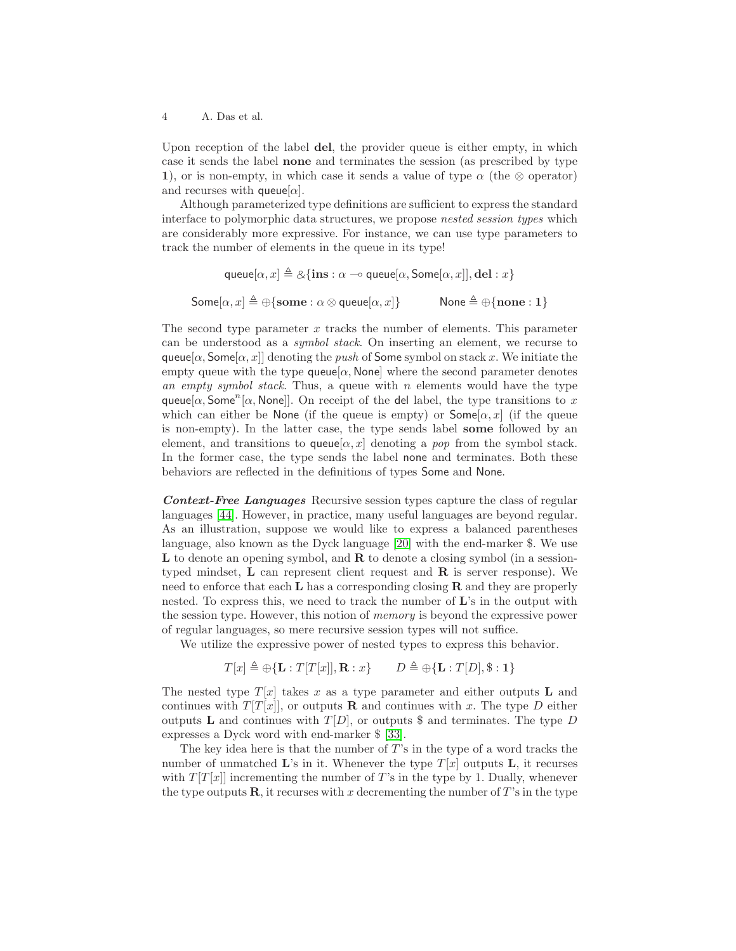Upon reception of the label **del**, the provider queue is either empty, in which case it sends the label none and terminates the session (as prescribed by type 1), or is non-empty, in which case it sends a value of type  $\alpha$  (the  $\otimes$  operator) and recurses with queue[ $\alpha$ ].

Although parameterized type definitions are sufficient to express the standard interface to polymorphic data structures, we propose nested session types which are considerably more expressive. For instance, we can use type parameters to track the number of elements in the queue in its type!

queue[ $\alpha$ ,  $x$ ]  $\triangleq$  & {**ins** :  $\alpha$   $\sim$  queue[ $\alpha$ , Some[ $\alpha$ , x]], **del** : x}  $\mathsf{Some}[\alpha, x] \triangleq \bigoplus \{\mathbf{some} : \alpha \otimes \mathsf{queue}[\alpha, x]\}$  None  $\triangleq \bigoplus \{\mathbf{none} : \mathbf{1}\}\$ 

The second type parameter  $x$  tracks the number of elements. This parameter can be understood as a symbol stack. On inserting an element, we recurse to queue[ $\alpha$ , Some[ $\alpha$ , x]] denoting the *push* of Some symbol on stack x. We initiate the empty queue with the type queue[ $\alpha$ , None] where the second parameter denotes an empty symbol stack. Thus, a queue with n elements would have the type queue[ $\alpha$ , Some<sup>n</sup>[ $\alpha$ , None]]. On receipt of the del label, the type transitions to x which can either be None (if the queue is empty) or  $\mathsf{Some}[\alpha, x]$  (if the queue is non-empty). In the latter case, the type sends label some followed by an element, and transitions to queue[ $\alpha$ , x] denoting a pop from the symbol stack. In the former case, the type sends the label none and terminates. Both these behaviors are reflected in the definitions of types Some and None.

Context-Free Languages Recursive session types capture the class of regular languages [\[44\]](#page-34-2). However, in practice, many useful languages are beyond regular. As an illustration, suppose we would like to express a balanced parentheses language, also known as the Dyck language [\[20\]](#page-33-9) with the end-marker \$. We use  **to denote an opening symbol, and**  $**R**$  **to denote a closing symbol (in a session**typed mindset,  $L$  can represent client request and  $R$  is server response). We need to enforce that each L has a corresponding closing R and they are properly nested. To express this, we need to track the number of L's in the output with the session type. However, this notion of memory is beyond the expressive power of regular languages, so mere recursive session types will not suffice.

We utilize the expressive power of nested types to express this behavior.

$$
T[x] \triangleq \oplus \{ \mathbf{L} : T[T[x]], \mathbf{R} : x \} \qquad D \triangleq \oplus \{ \mathbf{L} : T[D], \$ : 1 \}
$$

The nested type  $T[x]$  takes x as a type parameter and either outputs L and continues with  $T[T[x]]$ , or outputs **R** and continues with x. The type D either outputs **L** and continues with  $T[D]$ , or outputs \$ and terminates. The type D expresses a Dyck word with end-marker \$ [\[33\]](#page-33-10).

The key idea here is that the number of  $T$ 's in the type of a word tracks the number of unmatched L's in it. Whenever the type  $T[x]$  outputs L, it recurses with  $T[T[x]]$  incrementing the number of T's in the type by 1. Dually, whenever the type outputs  $\mathbf{R}$ , it recurses with x decrementing the number of T's in the type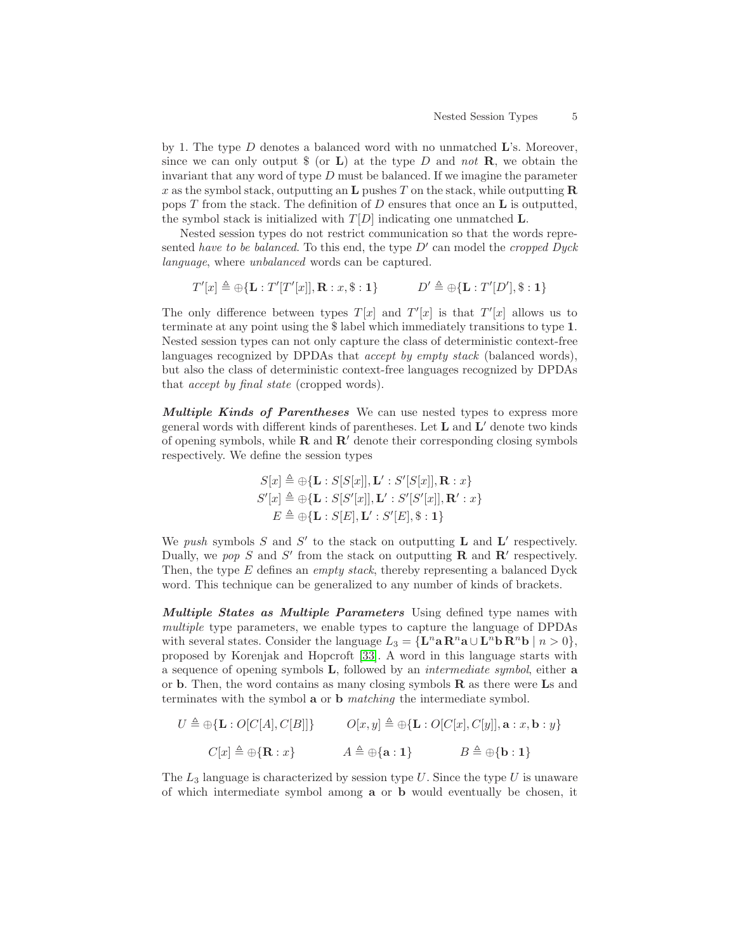by 1. The type  $D$  denotes a balanced word with no unmatched  $\mathbf{L}$ 's. Moreover, since we can only output  $\text{\$ (or L) at the type } D \text{ and not } \textbf{R},$  we obtain the invariant that any word of type  $D$  must be balanced. If we imagine the parameter x as the symbol stack, outputting an  $L$  pushes T on the stack, while outputting  $R$ pops  $T$  from the stack. The definition of  $D$  ensures that once an  $L$  is outputted, the symbol stack is initialized with  $T[D]$  indicating one unmatched **L**.

Nested session types do not restrict communication so that the words represented have to be balanced. To this end, the type  $D'$  can model the cropped Dyck language, where unbalanced words can be captured.

$$
T'[x] \triangleq \bigoplus \{\mathbf{L} : T'[T'[x]], \mathbf{R} : x, \$ : \mathbf{1}\} \qquad D' \triangleq \bigoplus \{\mathbf{L} : T'[D'], \$ : \mathbf{1}\}\
$$

The only difference between types  $T[x]$  and  $T'[x]$  is that  $T'[x]$  allows us to terminate at any point using the \$ label which immediately transitions to type 1. Nested session types can not only capture the class of deterministic context-free languages recognized by DPDAs that *accept by empty stack* (balanced words), but also the class of deterministic context-free languages recognized by DPDAs that accept by final state (cropped words).

Multiple Kinds of Parentheses We can use nested types to express more general words with different kinds of parentheses. Let  $L$  and  $L'$  denote two kinds of opening symbols, while  $\bf{R}$  and  $\bf{R}'$  denote their corresponding closing symbols respectively. We define the session types

$$
S[x] \triangleq \bigoplus \{ \mathbf{L} : S[S[x]], \mathbf{L}' : S'[S[x]], \mathbf{R} : x \}
$$
  

$$
S'[x] \triangleq \bigoplus \{ \mathbf{L} : S[S'[x]], \mathbf{L}' : S'[S'[x]], \mathbf{R}' : x \}
$$
  

$$
E \triangleq \bigoplus \{ \mathbf{L} : S[E], \mathbf{L}' : S'[E], \$ : 1 \}
$$

We push symbols  $S$  and  $S'$  to the stack on outputting  $L$  and  $L'$  respectively. Dually, we pop S and S' from the stack on outputting  $\bf{R}$  and  $\bf{R}'$  respectively. Then, the type E defines an *empty stack*, thereby representing a balanced Dyck word. This technique can be generalized to any number of kinds of brackets.

Multiple States as Multiple Parameters Using defined type names with multiple type parameters, we enable types to capture the language of DPDAs with several states. Consider the language  $L_3 = \{ \mathbf{L}^n \mathbf{a} \mathbf{R}^n \mathbf{a} \cup \mathbf{L}^n \mathbf{b} \mathbf{R}^n \mathbf{b} \mid n > 0 \},\$ proposed by Korenjak and Hopcroft [\[33\]](#page-33-10). A word in this language starts with a sequence of opening symbols L, followed by an intermediate symbol, either a or **b**. Then, the word contains as many closing symbols  $\bf{R}$  as there were  $\bf{L}$ s and terminates with the symbol a or b matching the intermediate symbol.

$$
U \triangleq \bigoplus \{ \mathbf{L} : O[C[A], C[B]] \} \qquad O[x, y] \triangleq \bigoplus \{ \mathbf{L} : O[C[x], C[y]], \mathbf{a} : x, \mathbf{b} : y \}
$$

$$
C[x] \triangleq \bigoplus \{ \mathbf{R} : x \} \qquad A \triangleq \bigoplus \{ \mathbf{a} : \mathbf{1} \} \qquad B \triangleq \bigoplus \{ \mathbf{b} : \mathbf{1} \}
$$

The  $L_3$  language is characterized by session type U. Since the type U is unaware of which intermediate symbol among a or b would eventually be chosen, it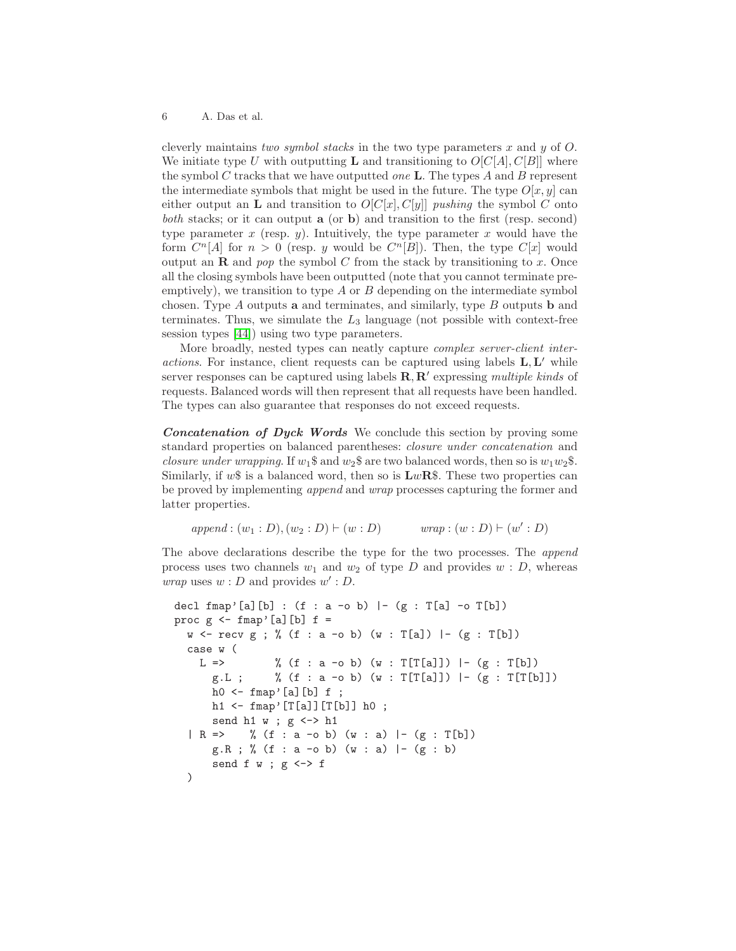cleverly maintains two symbol stacks in the two type parameters x and y of  $O$ . We initiate type U with outputting **L** and transitioning to  $O[C[A], C[B]]$  where the symbol C tracks that we have outputted one L. The types  $A$  and  $B$  represent the intermediate symbols that might be used in the future. The type  $O[x, y]$  can either output an **L** and transition to  $O[C[x], C[y]]$  *pushing* the symbol C onto both stacks; or it can output  $\bf{a}$  (or  $\bf{b}$ ) and transition to the first (resp. second) type parameter x (resp. y). Intuitively, the type parameter x would have the form  $C^n[A]$  for  $n > 0$  (resp. y would be  $C^n[B]$ ). Then, the type  $C[x]$  would output an **R** and pop the symbol C from the stack by transitioning to x. Once all the closing symbols have been outputted (note that you cannot terminate preemptively), we transition to type  $A$  or  $B$  depending on the intermediate symbol chosen. Type  $A$  outputs **a** and terminates, and similarly, type  $B$  outputs **b** and terminates. Thus, we simulate the  $L_3$  language (not possible with context-free session types [\[44\]](#page-34-2)) using two type parameters.

More broadly, nested types can neatly capture complex server-client interactions. For instance, client requests can be captured using labels  $L, L'$  while server responses can be captured using labels  $\mathbf{R}, \mathbf{R}'$  expressing multiple kinds of requests. Balanced words will then represent that all requests have been handled. The types can also guarantee that responses do not exceed requests.

Concatenation of Dyck Words We conclude this section by proving some standard properties on balanced parentheses: closure under concatenation and closure under wrapping. If  $w_1$ \$ and  $w_2$ \$ are two balanced words, then so is  $w_1w_2$ \$. Similarly, if  $w\$  is a balanced word, then so is  $LwR\$ . These two properties can be proved by implementing append and wrap processes capturing the former and latter properties.

 $append: (w_1 : D), (w_2 : D) \vdash (w : D)$  $\prime$ : D)

The above declarations describe the type for the two processes. The append process uses two channels  $w_1$  and  $w_2$  of type D and provides  $w : D$ , whereas *wrap* uses  $w : D$  and provides  $w' : D$ .

```
decl fmap'[a][b] : (f : a \neg o b) |- (g : T[a] \neg o T[b])proc g \leftarrow \text{fmap'}[a][b] f =w \leq recv g \; ; \; \% (f : a -o b) (w \; : \; T[a]) |- (g \; : \; T[b])
  case w (
    L => \frac{1}{6} (f : a -o b) (w : T[T[a]]) |- (g : T[b])
      g.L; % (f : a -o b) (w : T[T[a]]) |- (g : T[T[b]])
      h0 <- fmap'[a][b] f ;
      h1 <- fmap'[T[a]][T[b]] h0 ;
      send h1 w ; g <-> h1
  | R => \% (f : a -o b) (w : a) |- (g : T[b])
      g.R; % (f : a -o b) (w : a) |- (g : b)
      send f w; g \iff f)
```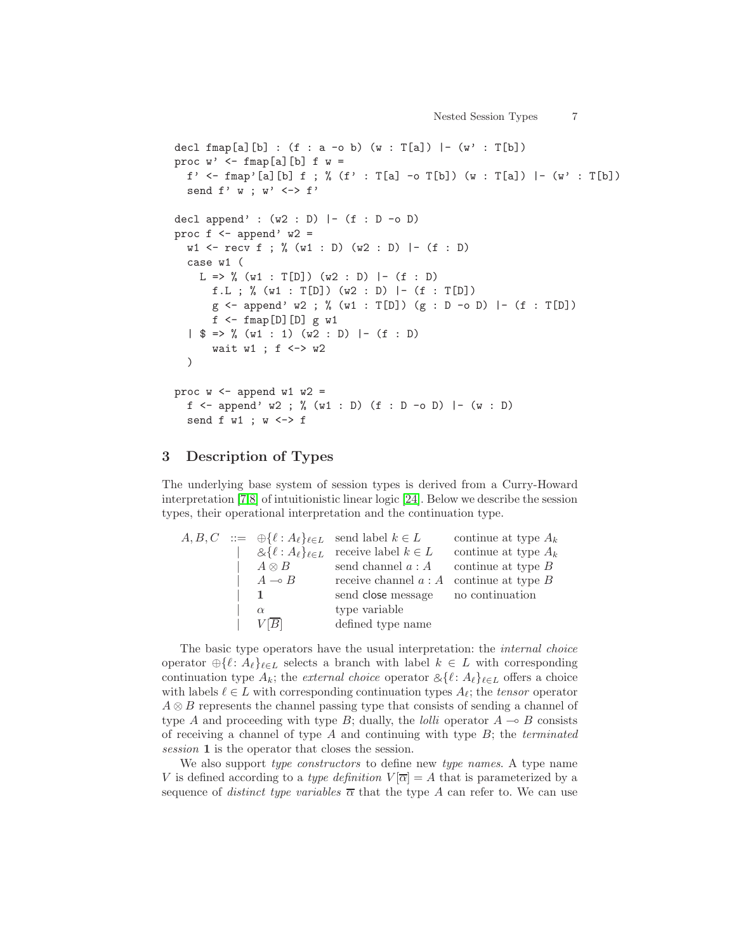```
decl fmap[a][b] : (f : a -o b) (w : T[a]) | - (w' : T[b])proc w' \leq f \text{map}[a][b] f w =f' <- fmap'[a][b] f ; % (f' : T[a] -o T[b]) (w : T[a]) |- (w' : T[b])
  send f' w; w' \iff f'decl append' : (w2 : D) |- (f : D - o D)proc f \leftarrow append' w2 =w1 \leftarrow \text{recv } f ; % (w1 : D) (w2 : D) |- (f : D)case w1 (
    L \Rightarrow \% (w1 : T[D]) (w2 : D) |- (f : D)
      f.L ; \% (w1 : T[D]) (w2 : D) |- (f : T[D])
      g \leq - append' w2 ; % (w1 : T[D]) (g : D - o D) |- (f : T[D])
      f \leftarrow fmap[D][D] g w1
  |\$ => % (w1 : 1) (w2 : D) |- (f : D)
      wait w1 ; f <-> w2
  )
proc w \leq - append w1 w2 =f \leq - append' w2 ; % (w1 : D) (f : D - o D) |- (w : D)
  send f w1 ; w <-> f
```
# <span id="page-6-0"></span>3 Description of Types

The underlying base system of session types is derived from a Curry-Howard interpretation [\[7,](#page-32-0)[8\]](#page-32-1) of intuitionistic linear logic [\[24\]](#page-33-11). Below we describe the session types, their operational interpretation and the continuation type.

|  |                 | $A, B, C \ ::= \ \oplus \{ \ell : A_{\ell} \}_{\ell \in L} \text{ send label } k \in L$ | continue at type $A_k$ |
|--|-----------------|-----------------------------------------------------------------------------------------|------------------------|
|  |                 | $\&\{\ell : A_{\ell}\}_{{\ell \in L}}$ receive label $k \in L$ continue at type $A_k$   |                        |
|  | $A \otimes B$   | send channel $a : A$ continue at type $B$                                               |                        |
|  | $A \multimap B$ | receive channel $a : A$ continue at type B                                              |                        |
|  |                 | send close message no continuation                                                      |                        |
|  | $\alpha$        | type variable                                                                           |                        |
|  |                 | defined type name                                                                       |                        |

The basic type operators have the usual interpretation: the internal choice operator  $\bigoplus \{\ell : A_{\ell}\}_{\ell \in L}$  selects a branch with label  $k \in L$  with corresponding continuation type  $A_k$ ; the external choice operator  $\mathcal{S}\{\ell : A_\ell\}_{\ell\in\mathcal{L}}$  offers a choice with labels  $\ell \in L$  with corresponding continuation types  $A_{\ell}$ ; the tensor operator  $A \otimes B$  represents the channel passing type that consists of sending a channel of type A and proceeding with type B; dually, the *lolli* operator  $A \rightarrow B$  consists of receiving a channel of type A and continuing with type  $B$ ; the *terminated* session 1 is the operator that closes the session.

We also support *type constructors* to define new *type names*. A type name V is defined according to a type definition  $V[\overline{\alpha}] = A$  that is parameterized by a sequence of *distinct type variables*  $\overline{\alpha}$  that the type A can refer to. We can use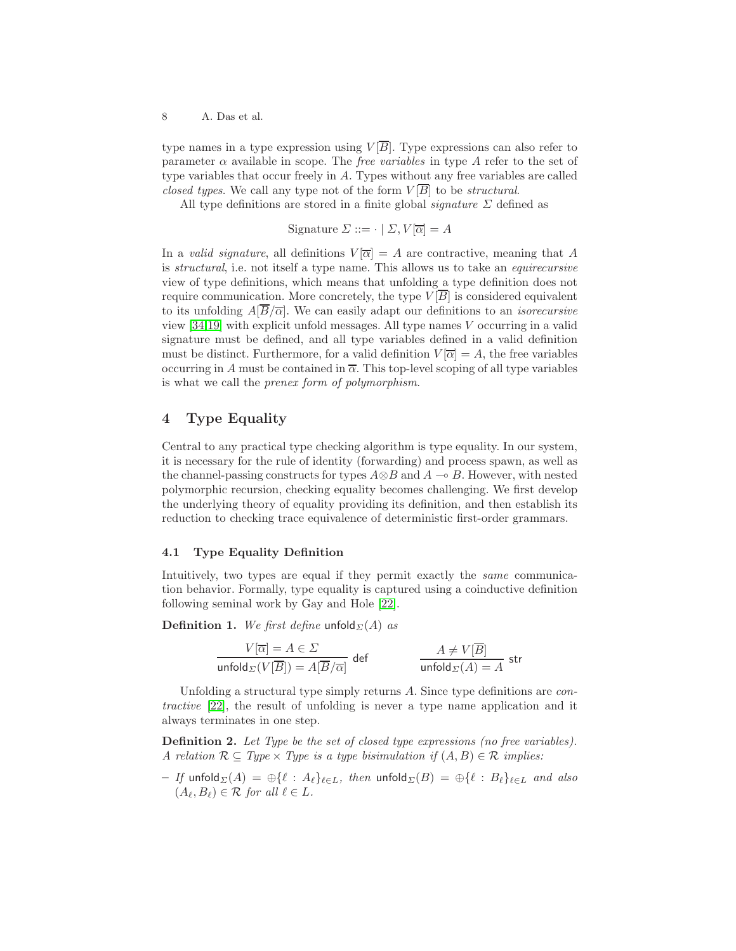type names in a type expression using  $V[\overline{B}]$ . Type expressions can also refer to parameter  $\alpha$  available in scope. The *free variables* in type A refer to the set of type variables that occur freely in A. Types without any free variables are called closed types. We call any type not of the form  $V[\overline{B}]$  to be structural.

All type definitions are stored in a finite global *signature*  $\Sigma$  defined as

$$
Signature \Sigma ::= \cdot | \Sigma, V[\overline{\alpha}] = A
$$

In a valid signature, all definitions  $V[\overline{\alpha}] = A$  are contractive, meaning that A is structural, i.e. not itself a type name. This allows us to take an equirecursive view of type definitions, which means that unfolding a type definition does not require communication. More concretely, the type  $V[\overline{B}]$  is considered equivalent to its unfolding  $A[\overline{B}/\overline{\alpha}]$ . We can easily adapt our definitions to an *isorecursive* view [\[34,](#page-33-12)[19\]](#page-33-13) with explicit unfold messages. All type names V occurring in a valid signature must be defined, and all type variables defined in a valid definition must be distinct. Furthermore, for a valid definition  $V[\overline{\alpha}] = A$ , the free variables occurring in A must be contained in  $\overline{\alpha}$ . This top-level scoping of all type variables is what we call the prenex form of polymorphism.

# <span id="page-7-0"></span>4 Type Equality

Central to any practical type checking algorithm is type equality. In our system, it is necessary for the rule of identity (forwarding) and process spawn, as well as the channel-passing constructs for types  $A\otimes B$  and  $A\multimap B$ . However, with nested polymorphic recursion, checking equality becomes challenging. We first develop the underlying theory of equality providing its definition, and then establish its reduction to checking trace equivalence of deterministic first-order grammars.

### 4.1 Type Equality Definition

Intuitively, two types are equal if they permit exactly the same communication behavior. Formally, type equality is captured using a coinductive definition following seminal work by Gay and Hole [\[22\]](#page-33-6).

**Definition 1.** We first define unfold  $\Gamma(A)$  as

<span id="page-7-1"></span>
$$
\frac{V[\overline{\alpha}] = A \in \Sigma}{\text{unfold}_{\Sigma}(V[\overline{B}]) = A[\overline{B}/\overline{\alpha}]} \text{ def } \frac{A \neq V[\overline{B}]}{\text{unfold}_{\Sigma}(A) = A} \text{ str}
$$

Unfolding a structural type simply returns A. Since type definitions are *con*tractive [\[22\]](#page-33-6), the result of unfolding is never a type name application and it always terminates in one step.

Definition 2. Let Type be the set of closed type expressions (no free variables). A relation  $\mathcal{R} \subseteq Type \times Type$  is a type bisimulation if  $(A, B) \in \mathcal{R}$  implies:

 $-$  If unfold $_{\Sigma}(A) = \bigoplus \{ \ell : A_{\ell} \}_{\ell \in L}$ , then unfold $_{\Sigma}(B) = \bigoplus \{ \ell : B_{\ell} \}_{\ell \in L}$  and also  $(A_{\ell}, B_{\ell}) \in \mathcal{R}$  for all  $\ell \in L$ .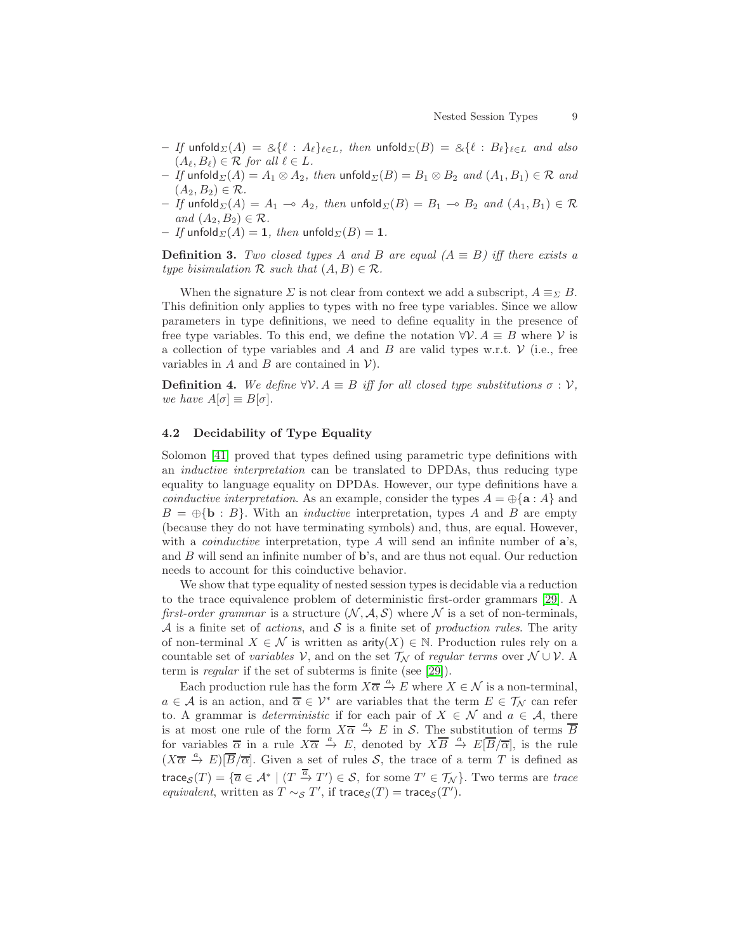- $-If$  unfold  $\Gamma(A) = \&\{\ell : A_{\ell}\}_{\ell \in L}$ , then unfold  $\Gamma(B) = \&\{\ell : B_{\ell}\}_{\ell \in L}$  and also  $(A_{\ell}, B_{\ell}) \in \mathcal{R}$  for all  $\ell \in L$ .
- $-$  If unfold<sub>Σ</sub>(A) = A<sub>1</sub> ⊗ A<sub>2</sub>, then unfold<sub>Σ</sub>(B) = B<sub>1</sub> ⊗ B<sub>2</sub> and (A<sub>1</sub>, B<sub>1</sub>) ∈ R and  $(A_2, B_2) \in \mathcal{R}$ .
- $-$  If unfold<sub>∑</sub>(A) = A<sub>1</sub> → A<sub>2</sub>, then unfold<sub>∑</sub>(B) = B<sub>1</sub> → B<sub>2</sub> and (A<sub>1</sub>, B<sub>1</sub>)  $\in \mathcal{R}$ and  $(A_2, B_2) \in \mathcal{R}$ .
- $-If$  unfold  $\Gamma(A) = 1$ , then unfold  $\Gamma(B) = 1$ .

**Definition 3.** Two closed types A and B are equal  $(A \equiv B)$  iff there exists a type bisimulation  $\mathcal R$  such that  $(A, B) \in \mathcal R$ .

When the signature  $\Sigma$  is not clear from context we add a subscript,  $A \equiv_{\Sigma} B$ . This definition only applies to types with no free type variables. Since we allow parameters in type definitions, we need to define equality in the presence of free type variables. To this end, we define the notation  $\forall V. A \equiv B$  where V is a collection of type variables and  $A$  and  $B$  are valid types w.r.t.  $V$  (i.e., free variables in  $A$  and  $B$  are contained in  $V$ ).

<span id="page-8-0"></span>**Definition 4.** We define  $\forall V$ .  $A \equiv B$  iff for all closed type substitutions  $\sigma : V$ , we have  $A[\sigma] \equiv B[\sigma]$ .

## 4.2 Decidability of Type Equality

Solomon [\[41\]](#page-34-7) proved that types defined using parametric type definitions with an inductive interpretation can be translated to DPDAs, thus reducing type equality to language equality on DPDAs. However, our type definitions have a *coinductive interpretation.* As an example, consider the types  $A = \bigoplus \{a : A\}$  and  $B = \bigoplus \{\mathbf{b} : B\}$ . With an *inductive* interpretation, types A and B are empty (because they do not have terminating symbols) and, thus, are equal. However, with a *coinductive* interpretation, type A will send an infinite number of  $\mathbf{a}^s$ , and  $B$  will send an infinite number of  $\mathbf{b}'s$ , and are thus not equal. Our reduction needs to account for this coinductive behavior.

We show that type equality of nested session types is decidable via a reduction to the trace equivalence problem of deterministic first-order grammars [\[29\]](#page-33-14). A first-order grammar is a structure  $(N, A, S)$  where N is a set of non-terminals, A is a finite set of *actions*, and S is a finite set of *production rules*. The arity of non-terminal  $X \in \mathcal{N}$  is written as  $\text{arity}(X) \in \mathbb{N}$ . Production rules rely on a countable set of variables V, and on the set  $\mathcal{T}_{\mathcal{N}}$  of regular terms over  $\mathcal{N} \cup \mathcal{V}$ . A term is regular if the set of subterms is finite (see [\[29\]](#page-33-14)).

Each production rule has the form  $X\overline{\alpha} \stackrel{a}{\rightarrow} E$  where  $X \in \mathcal{N}$  is a non-terminal,  $a \in \mathcal{A}$  is an action, and  $\overline{\alpha} \in \mathcal{V}^*$  are variables that the term  $E \in \mathcal{T}_N$  can refer to. A grammar is *deterministic* if for each pair of  $X \in \mathcal{N}$  and  $a \in \mathcal{A}$ , there is at most one rule of the form  $X\overline{\alpha} \stackrel{a}{\rightarrow} E$  in S. The substitution of terms  $\overline{B}$ for variables  $\overline{\alpha}$  in a rule  $X\overline{\alpha} \stackrel{a}{\rightarrow} E$ , denoted by  $X\overline{B} \stackrel{a}{\rightarrow} E[\overline{B}/\overline{\alpha}]$ , is the rule  $(X\overline{\alpha} \stackrel{a}{\rightarrow} E)[\overline{B}/\overline{\alpha}]$ . Given a set of rules S, the trace of a term T is defined as trace ${}_{\mathcal{S}}(T)=\{\overline{a}\in\mathcal{A}^* \mid (T\stackrel{\overline{a}}{\rightarrow} T')\in \mathcal{S}, \text{ for some } T'\in \mathcal{T}_{\mathcal{N}}\}.$  Two terms are trace *equivalent*, written as  $T \sim_S T'$ , if trace<sub>S</sub> $(T)$  = trace<sub>S</sub> $(T')$ .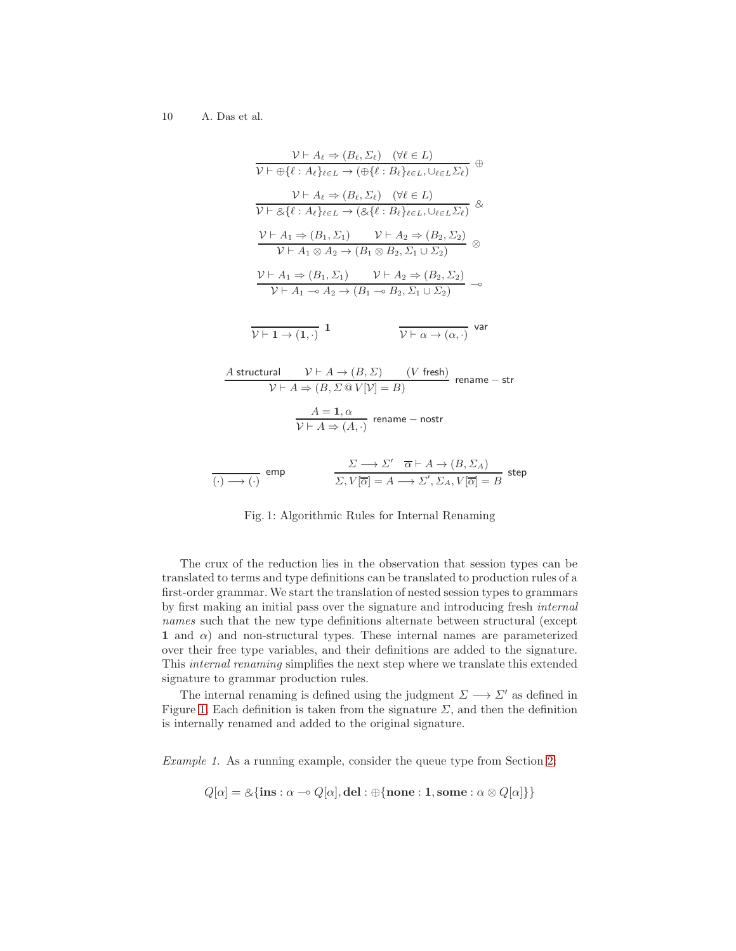<span id="page-9-0"></span>
$$
\mathcal{V} \vdash A_{\ell} \Rightarrow (B_{\ell}, \Sigma_{\ell}) \quad (\forall \ell \in L)
$$
\n
$$
\mathcal{V} \vdash \oplus \{\ell : A_{\ell}\}_{\ell \in L} \rightarrow (\oplus \{\ell : B_{\ell}\}_{\ell \in L}, \cup_{\ell \in L} \Sigma_{\ell}) \quad \oplus
$$
\n
$$
\mathcal{V} \vdash A_{\ell} \Rightarrow (B_{\ell}, \Sigma_{\ell}) \quad (\forall \ell \in L)
$$
\n
$$
\mathcal{V} \vdash \mathcal{S}_{\ell} \{\ell : A_{\ell}\}_{\ell \in L} \rightarrow (\mathcal{S}_{\ell} \{\ell : B_{\ell}\}_{\ell \in L}, \cup_{\ell \in L} \Sigma_{\ell}) \quad \mathcal{S}_{\ell}
$$
\n
$$
\mathcal{V} \vdash A_{1} \Rightarrow (B_{1}, \Sigma_{1}) \qquad \mathcal{V} \vdash A_{2} \Rightarrow (B_{2}, \Sigma_{2}) \qquad \mathcal{V} \vdash A_{1} \Rightarrow (B_{1}, \Sigma_{1}) \qquad \mathcal{V} \vdash A_{2} \Rightarrow (B_{2}, \Sigma_{2}) \qquad \mathcal{V} \vdash A_{1} \Rightarrow (B_{1}, \Sigma_{1}) \qquad \mathcal{V} \vdash A_{2} \Rightarrow (B_{2}, \Sigma_{2}) \qquad \neg \mathcal{V} \vdash A_{1} \rightarrow (B_{1}, \Sigma_{1}) \qquad \mathcal{V} \vdash A_{2} \Rightarrow (B_{2}, \Sigma_{1} \cup \Sigma_{2}) \qquad \neg \mathcal{V} \vdash A_{1} \rightarrow (1, \cdot) \qquad \mathcal{V} \vdash A \rightarrow (B, \Sigma) \qquad (V \text{ fresh}) \qquad \text{vanance} - \text{str}
$$
\n
$$
\mathcal{V} \vdash A \Rightarrow (B, \Sigma \oplus V[\mathcal{V}] = B) \qquad \text{denance} - \text{notr}
$$
\n
$$
\frac{A = 1, \alpha}{\mathcal{V} \vdash A \Rightarrow (A, \cdot) \qquad \text{rename} - \text{notr}
$$
\n
$$
\frac{\Sigma \rightarrow \Sigma' \quad \overline{\alpha} \vdash A \rightarrow (B, \Sigma_{A})}{\Sigma, V[\overline{\alpha}] = A \rightarrow \Sigma', \Sigma_{A}, V[\overline{\alpha}] = B} \text{ step}
$$

### Fig. 1: Algorithmic Rules for Internal Renaming

The crux of the reduction lies in the observation that session types can be translated to terms and type definitions can be translated to production rules of a first-order grammar. We start the translation of nested session types to grammars by first making an initial pass over the signature and introducing fresh internal names such that the new type definitions alternate between structural (except 1 and  $\alpha$ ) and non-structural types. These internal names are parameterized over their free type variables, and their definitions are added to the signature. This internal renaming simplifies the next step where we translate this extended signature to grammar production rules.

The internal renaming is defined using the judgment  $\Sigma \longrightarrow \Sigma'$  as defined in Figure [1.](#page-9-0) Each definition is taken from the signature  $\Sigma$ , and then the definition is internally renamed and added to the original signature.

Example 1. As a running example, consider the queue type from Section [2:](#page-2-0)

$$
Q[\alpha] = \& \{ \text{ins} : \alpha \multimap Q[\alpha], \text{del} : \oplus \{ \text{none} : 1, \text{some} : \alpha \otimes Q[\alpha] \} \}
$$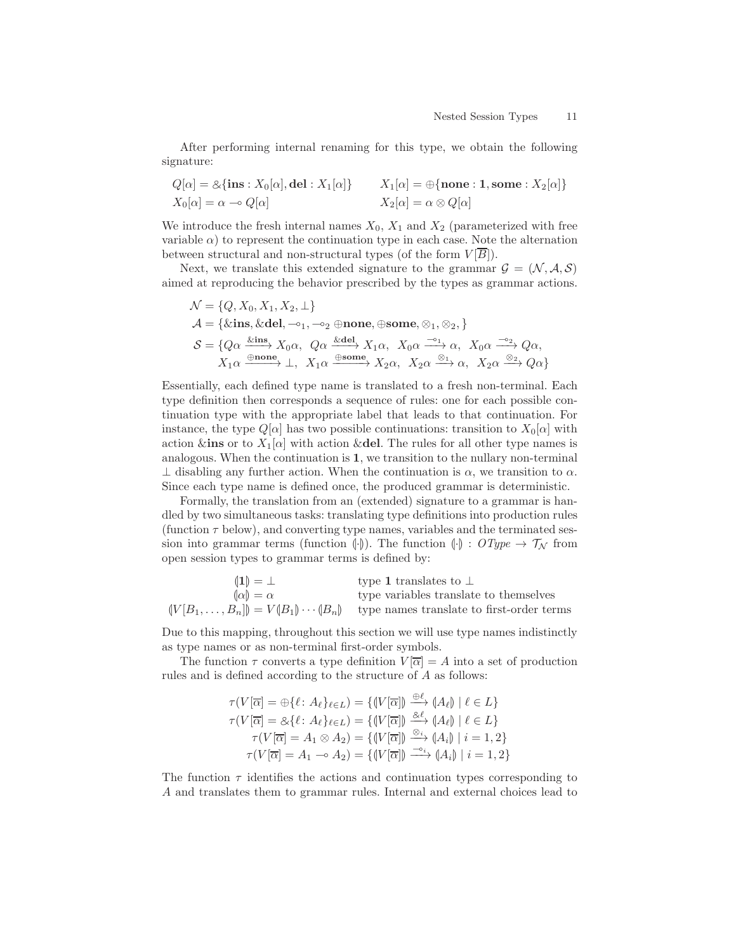After performing internal renaming for this type, we obtain the following signature:

$$
Q[\alpha] = \&{\text{{\bf{ins}}}: X_0[\alpha],\text{{\bf{del}}}: X_1[\alpha]} \qquad X_1[\alpha] = \bigoplus{\text{{\bf{none}}}: \text{{\bf{1}},\text{{\bf some}}}: X_2[\alpha]} \nonumber \ X_0[\alpha] = \alpha \multimap Q[\alpha] \qquad X_2[\alpha] = \alpha \otimes Q[\alpha]
$$

We introduce the fresh internal names  $X_0$ ,  $X_1$  and  $X_2$  (parameterized with free variable  $\alpha$ ) to represent the continuation type in each case. Note the alternation between structural and non-structural types (of the form  $V[\overline{B}])$ .

Next, we translate this extended signature to the grammar  $\mathcal{G} = (\mathcal{N}, \mathcal{A}, \mathcal{S})$ aimed at reproducing the behavior prescribed by the types as grammar actions.

$$
\mathcal{N} = \{Q, X_0, X_1, X_2, \perp\}
$$
\n
$$
\mathcal{A} = \{\&\text{ins, }\&\text{del}, -\circ_1, -\circ_2 \oplus \text{none}, \oplus \text{some}, \otimes_1, \otimes_2, \}
$$
\n
$$
\mathcal{S} = \{Q\alpha \xrightarrow{\&\text{ins}} X_0\alpha, \ Q\alpha \xrightarrow{\&\text{del}} X_1\alpha, \ X_0\alpha \xrightarrow{-\circ_1} \alpha, \ X_0\alpha \xrightarrow{-\circ_2} Q\alpha, \ X_1\alpha \xrightarrow{\oplus \text{none}} \perp, \ X_1\alpha \xrightarrow{\oplus \text{some}} X_2\alpha, \ X_2\alpha \xrightarrow{\otimes_1} \alpha, \ X_2\alpha \xrightarrow{\otimes_2} Q\alpha\}
$$

Essentially, each defined type name is translated to a fresh non-terminal. Each type definition then corresponds a sequence of rules: one for each possible continuation type with the appropriate label that leads to that continuation. For instance, the type  $Q[\alpha]$  has two possible continuations: transition to  $X_0[\alpha]$  with action &ins or to  $X_1[\alpha]$  with action &del. The rules for all other type names is analogous. When the continuation is 1, we transition to the nullary non-terminal  $\perp$  disabling any further action. When the continuation is  $\alpha$ , we transition to  $\alpha$ . Since each type name is defined once, the produced grammar is deterministic.

Formally, the translation from an (extended) signature to a grammar is handled by two simultaneous tasks: translating type definitions into production rules (function  $\tau$  below), and converting type names, variables and the terminated session into grammar terms (function  $\langle \cdot \rangle$ ). The function  $\langle \cdot \rangle$  :  $OType \rightarrow \mathcal{T}_N$  from open session types to grammar terms is defined by:

| $(1) = \perp$       | type 1 translates to $\perp$                                                                                   |
|---------------------|----------------------------------------------------------------------------------------------------------------|
| $\alpha$ = $\alpha$ | type variables translate to themselves                                                                         |
|                     | $\langle V B_1,\ldots,B_n \rangle = V(B_1 \cdots(B_n \mathcal{F}_n)$ type names translate to first-order terms |

Due to this mapping, throughout this section we will use type names indistinctly as type names or as non-terminal first-order symbols.

The function  $\tau$  converts a type definition  $V[\overline{\alpha}] = A$  into a set of production rules and is defined according to the structure of A as follows:

$$
\tau(V[\overline{\alpha}] = \bigoplus \{\ell \colon A_{\ell}\}_{\ell \in L}\} = \{ [V[\overline{\alpha}]) \xrightarrow{\oplus \ell} \{A_{\ell}\} | \ell \in L \}
$$

$$
\tau(V[\overline{\alpha}] = \bigotimes \{\ell \colon A_{\ell}\}_{\ell \in L}\} = \{ [V[\overline{\alpha}]) \xrightarrow{\bigotimes \ell} \{A_{\ell}\} | \ell \in L \}
$$

$$
\tau(V[\overline{\alpha}] = A_{1} \otimes A_{2}) = \{ [V[\overline{\alpha}]) \xrightarrow{\bigotimes_{i}} \{A_{i}\} | i = 1, 2 \}
$$

$$
\tau(V[\overline{\alpha}] = A_{1} \rightarrow A_{2}) = \{ [V[\overline{\alpha}]] \xrightarrow{\neg \circ i} \{A_{i}\} | i = 1, 2 \}
$$

The function  $\tau$  identifies the actions and continuation types corresponding to A and translates them to grammar rules. Internal and external choices lead to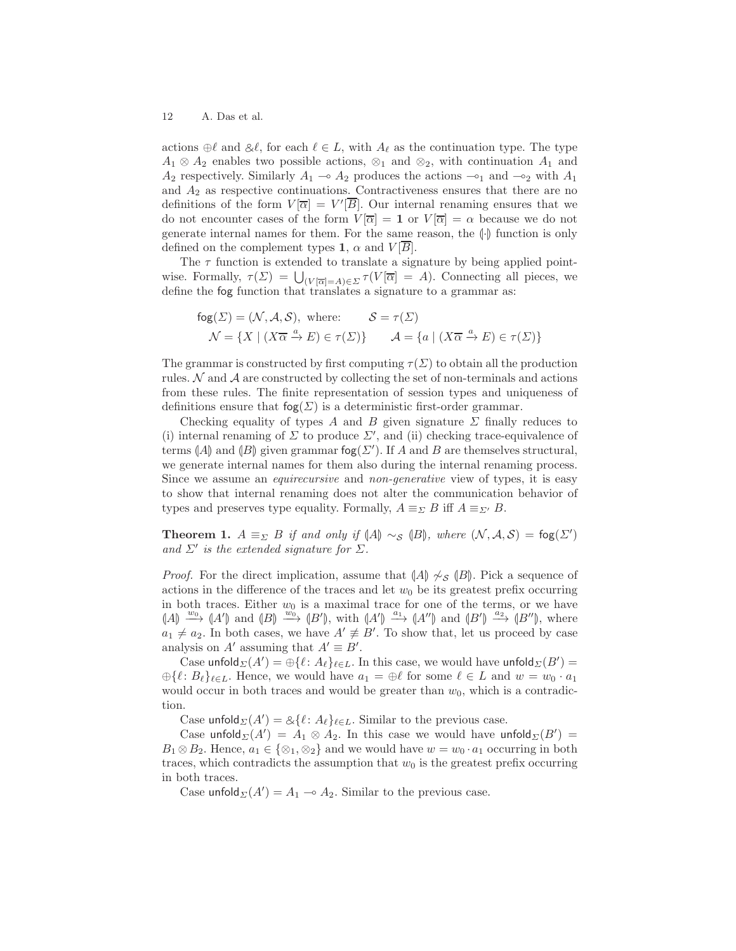actions  $\oplus \ell$  and  $\ℓ$ , for each  $\ell \in L$ , with  $A_{\ell}$  as the continuation type. The type  $A_1 \otimes A_2$  enables two possible actions,  $\otimes_1$  and  $\otimes_2$ , with continuation  $A_1$  and  $A_2$  respectively. Similarly  $A_1 \multimap A_2$  produces the actions  $\multimap_1$  and  $\multimap_2$  with  $A_1$ and  $A_2$  as respective continuations. Contractiveness ensures that there are no definitions of the form  $V[\overline{\alpha}] = V'[\overline{B}]$ . Our internal renaming ensures that we do not encounter cases of the form  $V[\overline{\alpha}] = 1$  or  $V[\overline{\alpha}] = \alpha$  because we do not generate internal names for them. For the same reason, the  $\left\|\cdot\right\|$  function is only defined on the complement types 1,  $\alpha$  and  $V[B]$ .

The  $\tau$  function is extended to translate a signature by being applied pointwise. Formally,  $\tau(\Sigma) = \bigcup_{(V[\overline{\alpha}] = A) \in \Sigma} \tau(V[\overline{\alpha}] = A)$ . Connecting all pieces, we define the fog function that translates a signature to a grammar as:

$$
\begin{aligned} \text{fog}(\Sigma) &= (\mathcal{N}, \mathcal{A}, \mathcal{S}), \text{ where:} \qquad \mathcal{S} = \tau(\Sigma) \\ \mathcal{N} &= \{ X \mid (\bar{X}\overline{\alpha} \xrightarrow{a} E) \in \tau(\Sigma) \} \qquad \mathcal{A} = \{ a \mid (\bar{X}\overline{\alpha} \xrightarrow{a} E) \in \tau(\Sigma) \} \end{aligned}
$$

The grammar is constructed by first computing  $\tau(\Sigma)$  to obtain all the production rules.  $N$  and  $\mathcal A$  are constructed by collecting the set of non-terminals and actions from these rules. The finite representation of session types and uniqueness of definitions ensure that  $f \circ g(\Sigma)$  is a deterministic first-order grammar.

Checking equality of types A and B given signature  $\Sigma$  finally reduces to (i) internal renaming of  $\Sigma$  to produce  $\Sigma'$ , and (ii) checking trace-equivalence of terms (A) and (B) given grammar fog( $\Sigma'$ ). If A and B are themselves structural, we generate internal names for them also during the internal renaming process. Since we assume an *equirecursive* and *non-generative* view of types, it is easy to show that internal renaming does not alter the communication behavior of types and preserves type equality. Formally,  $A \equiv_{\Sigma} B$  iff  $A \equiv_{\Sigma'} B$ .

<span id="page-11-0"></span>**Theorem 1.**  $A \equiv_{\Sigma} B$  if and only if  $\{A\} \sim_{\mathcal{S}} \{B\}$ , where  $(\mathcal{N}, \mathcal{A}, \mathcal{S}) = \text{fog}(\Sigma')$ and  $\Sigma'$  is the extended signature for  $\Sigma$ .

*Proof.* For the direct implication, assume that  $\Lambda \downarrow \mathcal{S}$   $\mathcal{B}$ . Pick a sequence of actions in the difference of the traces and let  $w_0$  be its greatest prefix occurring in both traces. Either  $w_0$  is a maximal trace for one of the terms, or we have  $(A) \stackrel{w_0}{\longrightarrow} (A')$  and  $(B) \stackrel{w_0}{\longrightarrow} (B')$ , with  $(A') \stackrel{a_1}{\longrightarrow} (A'')$  and  $(B') \stackrel{a_2}{\longrightarrow} (B'')$ , where  $a_1 \neq a_2$ . In both cases, we have  $A' \neq B'$ . To show that, let us proceed by case analysis on  $A'$  assuming that  $A' \equiv B'$ .

Case unfold  $\chi(A') = \bigoplus \{ \ell : A_{\ell} \}_{\ell \in L}$ . In this case, we would have unfold  $\chi(B') =$  $\bigoplus \{\ell : B_{\ell}\}_{{\ell \in L}}$ . Hence, we would have  $a_1 = \bigoplus \ell$  for some  $\ell \in L$  and  $w = w_0 \cdot a_1$ would occur in both traces and would be greater than  $w_0$ , which is a contradiction.

Case unfold  $\mathcal{L}(A') = \mathcal{L}\{\ell : A_{\ell}\}_{\ell \in L}$ . Similar to the previous case.

Case unfold  $\Gamma(A') = A_1 \otimes A_2$ . In this case we would have unfold  $\Gamma(B') =$  $B_1 \otimes B_2$ . Hence,  $a_1 \in \{ \otimes_1, \otimes_2 \}$  and we would have  $w = w_0 \cdot a_1$  occurring in both traces, which contradicts the assumption that  $w_0$  is the greatest prefix occurring in both traces.

Case unfold  $\mathcal{L}(A') = A_1 \multimap A_2$ . Similar to the previous case.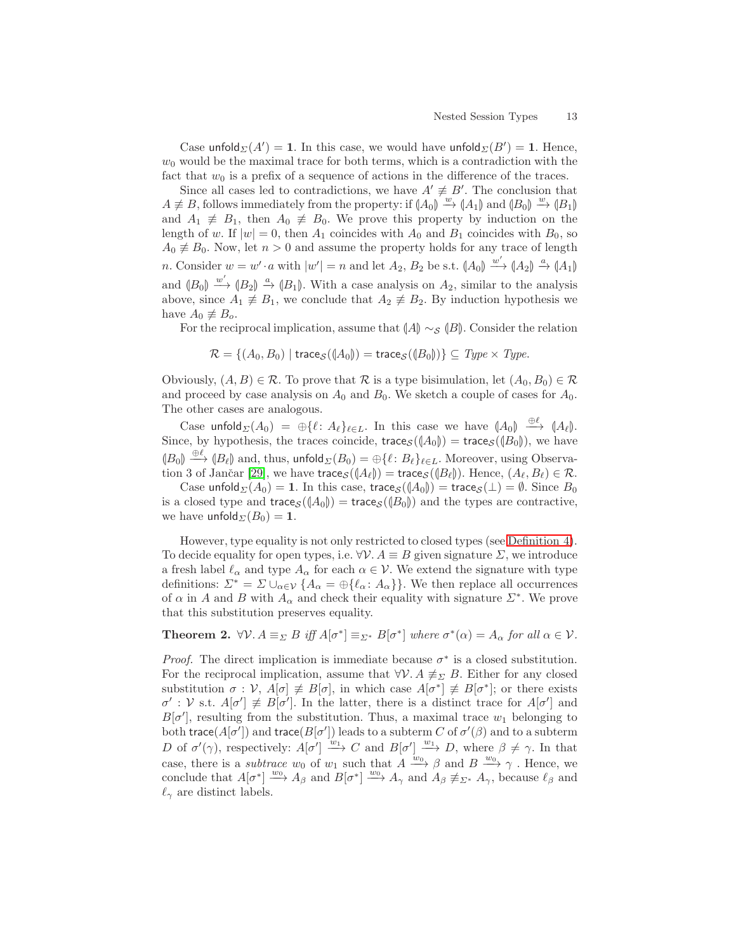Case unfold $_{\Sigma}(A') = 1$ . In this case, we would have unfold $_{\Sigma}(B') = 1$ . Hence,  $w_0$  would be the maximal trace for both terms, which is a contradiction with the fact that  $w_0$  is a prefix of a sequence of actions in the difference of the traces.

Since all cases led to contradictions, we have  $A' \neq B'$ . The conclusion that  $A \not\equiv B$ , follows immediately from the property: if  $(A_0 \mid \stackrel{w}{\to} (A_1) \mid$  and  $(B_0 \mid \stackrel{w}{\to} (B_1) \mid$ and  $A_1 \not\equiv B_1$ , then  $A_0 \not\equiv B_0$ . We prove this property by induction on the length of w. If  $|w| = 0$ , then  $A_1$  coincides with  $A_0$  and  $B_1$  coincides with  $B_0$ , so  $A_0 \neq B_0$ . Now, let  $n > 0$  and assume the property holds for any trace of length *n*. Consider  $w = w' \cdot a$  with  $|w'| = n$  and let  $A_2$ ,  $B_2$  be s.t.  $(A_0) \stackrel{w'}{\longrightarrow} (A_2) \stackrel{a}{\longrightarrow} (A_1)$ and  $(B_0) \stackrel{w'}{\longrightarrow} (B_2) \stackrel{a}{\rightarrow} (B_1)$ . With a case analysis on  $A_2$ , similar to the analysis above, since  $A_1 \neq B_1$ , we conclude that  $A_2 \neq B_2$ . By induction hypothesis we have  $A_0 \not\equiv B_o$ .

For the reciprocal implication, assume that  $\mathbb{A} \to \mathbb{B}$ . Consider the relation

$$
\mathcal{R} = \{(A_0, B_0) \mid \text{trace}_{\mathcal{S}}(\langle A_0 \rangle) = \text{trace}_{\mathcal{S}}(\langle B_0 \rangle) \} \subseteq \text{Type} \times \text{Type}.
$$

Obviously,  $(A, B) \in \mathcal{R}$ . To prove that  $\mathcal{R}$  is a type bisimulation, let  $(A_0, B_0) \in \mathcal{R}$ and proceed by case analysis on  $A_0$  and  $B_0$ . We sketch a couple of cases for  $A_0$ . The other cases are analogous.

Case unfold  $\Gamma(A_0) = \bigoplus \{ \ell : A_{\ell} \}_{\ell \in L}$ . In this case we have  $(A_0) \stackrel{\oplus \ell}{\longrightarrow} (A_{\ell}).$ Since, by hypothesis, the traces coincide,  $trace_S(\Vert A_0 \Vert) = trace_S(\Vert B_0 \Vert)$ , we have  $(B_0) \stackrel{\oplus \ell}{\longrightarrow} (B_\ell)$  and, thus, unfold  $_{\Sigma}(B_0) = \bigoplus \{ \ell : B_\ell \}_{\ell \in L}$ . Moreover, using Observa-tion 3 of Jančar [\[29\]](#page-33-14), we have trace $_{\mathcal{S}}(\Lambda_{\ell})$  = trace $_{\mathcal{S}}(\Lambda_{\ell})$ ). Hence,  $(A_{\ell}, B_{\ell}) \in \mathcal{R}$ .

Case unfold  $\overline{\Sigma}(A_0) = 1$ . In this case, trace  $\overline{\Sigma}(A_0|) = \text{trace}_{\Sigma}(\bot) = \emptyset$ . Since  $B_0$ is a closed type and traces  $(\vert A_0 \vert)$  = traces  $(\vert B_0 \vert)$  and the types are contractive, we have  $\text{unfold}_{\Sigma}(B_0) = 1$ .

However, type equality is not only restricted to closed types (see [Definition 4\)](#page-8-0). To decide equality for open types, i.e.  $\forall V. A \equiv B$  given signature  $\Sigma$ , we introduce a fresh label  $\ell_{\alpha}$  and type  $A_{\alpha}$  for each  $\alpha \in \mathcal{V}$ . We extend the signature with type definitions:  $\Sigma^* = \Sigma \cup_{\alpha \in \mathcal{V}} \{A_\alpha = \bigoplus \{\ell_\alpha : A_\alpha\}\}\.$  We then replace all occurrences of  $\alpha$  in A and B with  $A_{\alpha}$  and check their equality with signature  $\Sigma^*$ . We prove that this substitution preserves equality.

# <span id="page-12-0"></span>**Theorem 2.**  $\forall V. A \equiv_{\Sigma} B \text{ iff } A[\sigma^*] \equiv_{\Sigma^*} B[\sigma^*]$  where  $\sigma^*(\alpha) = A_{\alpha}$  for all  $\alpha \in V$ .

*Proof.* The direct implication is immediate because  $\sigma^*$  is a closed substitution. For the reciprocal implication, assume that  $\forall V. A \not\equiv_{\Sigma} B$ . Either for any closed substitution  $\sigma : \mathcal{V}, A[\sigma] \neq B[\sigma],$  in which case  $A[\sigma^*] \neq B[\sigma^*]$ ; or there exists  $\sigma' : \mathcal{V}$  s.t.  $A[\sigma'] \not\equiv B[\sigma']$ . In the latter, there is a distinct trace for  $A[\sigma']$  and  $B[\sigma']$ , resulting from the substitution. Thus, a maximal trace  $w_1$  belonging to both trace( $A[\sigma']$ ) and trace( $B[\sigma']$ ) leads to a subterm C of  $\sigma'(\beta)$  and to a subterm D of  $\sigma'(\gamma)$ , respectively:  $A[\sigma'] \stackrel{w_1}{\longrightarrow} C$  and  $B[\sigma'] \stackrel{w_1}{\longrightarrow} D$ , where  $\beta \neq \gamma$ . In that case, there is a *subtrace*  $w_0$  of  $w_1$  such that  $A \xrightarrow{w_0} \beta$  and  $B \xrightarrow{w_0} \gamma$ . Hence, we conclude that  $A[\sigma^*] \stackrel{w_0}{\longrightarrow} A_\beta$  and  $B[\sigma^*] \stackrel{w_0}{\longrightarrow} A_\gamma$  and  $A_\beta \not\equiv_{\Sigma^*} A_\gamma$ , because  $\ell_\beta$  and  $\ell_{\gamma}$  are distinct labels.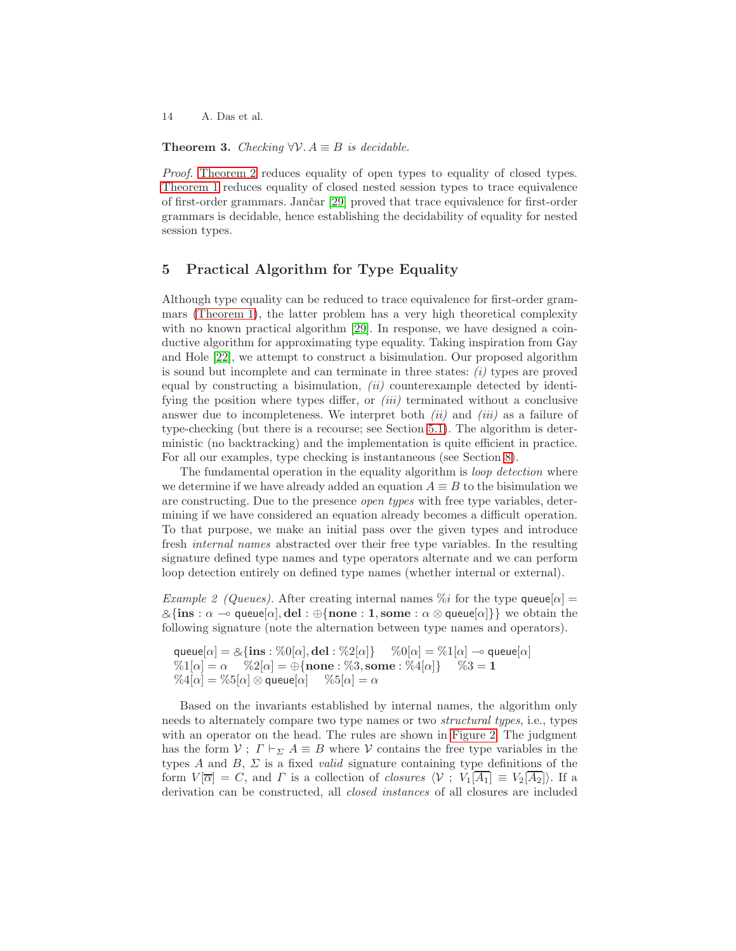**Theorem 3.** Checking  $\forall V. A \equiv B$  is decidable.

Proof. [Theorem 2](#page-12-0) reduces equality of open types to equality of closed types. [Theorem 1](#page-11-0) reduces equality of closed nested session types to trace equivalence of first-order grammars. Jančar [\[29\]](#page-33-14) proved that trace equivalence for first-order grammars is decidable, hence establishing the decidability of equality for nested session types.

## <span id="page-13-0"></span>5 Practical Algorithm for Type Equality

Although type equality can be reduced to trace equivalence for first-order grammars [\(Theorem 1\)](#page-11-0), the latter problem has a very high theoretical complexity with no known practical algorithm [\[29\]](#page-33-14). In response, we have designed a coinductive algorithm for approximating type equality. Taking inspiration from Gay and Hole [\[22\]](#page-33-6), we attempt to construct a bisimulation. Our proposed algorithm is sound but incomplete and can terminate in three states:  $(i)$  types are proved equal by constructing a bisimulation,  $(ii)$  counterexample detected by identifying the position where types differ, or *(iii)* terminated without a conclusive answer due to incompleteness. We interpret both  $(ii)$  and  $(iii)$  as a failure of type-checking (but there is a recourse; see Section [5.1\)](#page-17-0). The algorithm is deterministic (no backtracking) and the implementation is quite efficient in practice. For all our examples, type checking is instantaneous (see Section [8\)](#page-25-0).

The fundamental operation in the equality algorithm is *loop detection* where we determine if we have already added an equation  $A \equiv B$  to the bisimulation we are constructing. Due to the presence open types with free type variables, determining if we have considered an equation already becomes a difficult operation. To that purpose, we make an initial pass over the given types and introduce fresh internal names abstracted over their free type variables. In the resulting signature defined type names and type operators alternate and we can perform loop detection entirely on defined type names (whether internal or external).

Example 2 (Queues). After creating internal names  $\%i$  for the type queue[ $\alpha$ ] =  $\&\{\mathbf{ins} : \alpha \multimap \mathsf{queue}[\alpha], \mathbf{del} : \oplus\{\mathbf{none} : \mathbf{1}, \mathbf{some} : \alpha \otimes \mathsf{queue}[\alpha]\}\}\$ we obtain the following signature (note the alternation between type names and operators).

queue $[\alpha] = \&\{\mathbf{ins} : \%0[\alpha], \mathbf{del} : \%2[\alpha]\}$   $\%0[\alpha] = \%1[\alpha] \rightarrow \mathbf{queue}[\alpha]$  $\%1[\alpha] = \alpha$   $\%2[\alpha] = \bigoplus \{\textbf{none} : \%3, \textbf{some} : \%4[\alpha] \}$   $\%3 = 1$  $\%4[\alpha] = \%5[\alpha] \otimes \text{queue}[\alpha] \quad \%5[\alpha] = \alpha$ 

Based on the invariants established by internal names, the algorithm only needs to alternately compare two type names or two structural types, i.e., types with an operator on the head. The rules are shown in [Figure 2.](#page-14-0) The judgment has the form  $V$ ;  $\Gamma \vdash_{\Sigma} A \equiv B$  where V contains the free type variables in the types A and B,  $\Sigma$  is a fixed *valid* signature containing type definitions of the form  $V[\overline{\alpha}] = C$ , and  $\Gamma$  is a collection of *closures*  $\langle V ; V_1[\overline{A_1}] \equiv V_2[\overline{A_2}] \rangle$ . If a derivation can be constructed, all *closed instances* of all closures are included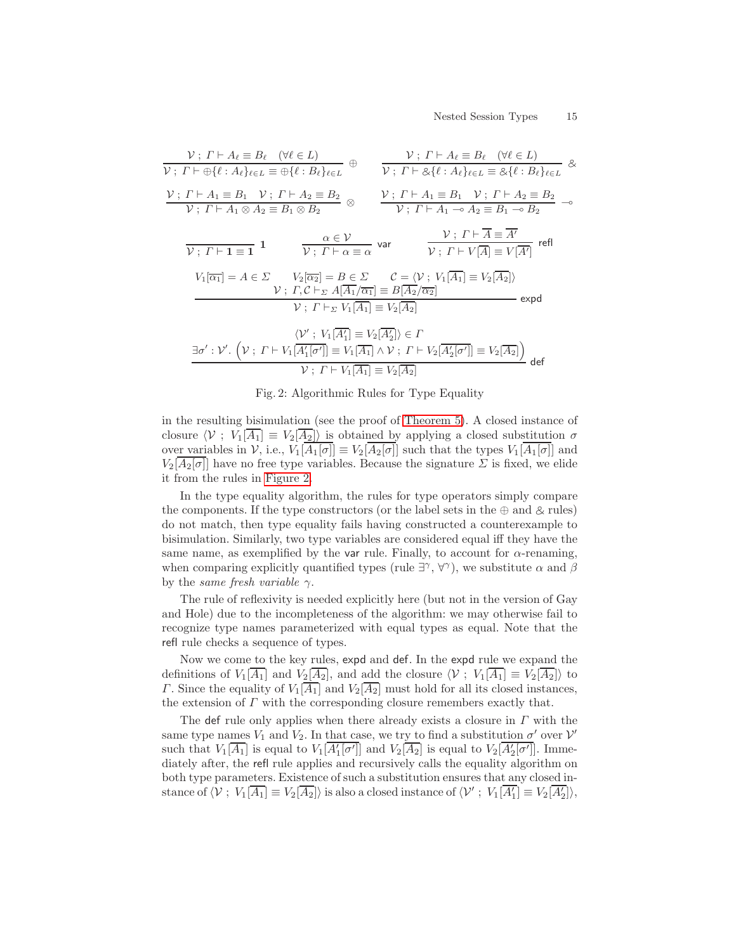<span id="page-14-0"></span>

| $V: \Gamma \vdash A_{\ell} \equiv B_{\ell} \quad (\forall \ell \in L)$<br>$V: \Gamma \vdash \bigoplus \{ \ell : A_{\ell} \}_{\ell \in L} \equiv \bigoplus \{ \ell : B_{\ell} \}_{\ell \in L} \oplus$                                                                                                                                                                                                                      | $V: \Gamma \vdash A_{\ell} \equiv B_{\ell} \quad (\forall \ell \in L)$<br>$V: \Gamma \vdash \& \{\ell : A_{\ell}\}_{\ell \in L} \equiv \& \{\ell : B_{\ell}\}_{\ell \in L}$                         |
|---------------------------------------------------------------------------------------------------------------------------------------------------------------------------------------------------------------------------------------------------------------------------------------------------------------------------------------------------------------------------------------------------------------------------|-----------------------------------------------------------------------------------------------------------------------------------------------------------------------------------------------------|
| $\frac{\mathcal{V}}{\mathcal{V}}$ ; $\Gamma \vdash A_1 \equiv B_1 \quad \mathcal{V}$ ; $\Gamma \vdash A_2 \equiv B_2 \ \mathcal{V}$ ; $\Gamma \vdash A_1 \otimes A_2 \equiv B_1 \otimes B_2$                                                                                                                                                                                                                              | $\frac{\mathcal{V}}{\mathcal{V}}$ ; $\Gamma \vdash A_1 \equiv B_1 \quad \mathcal{V}$ ; $\Gamma \vdash A_2 \equiv B_2$<br>$\mathcal{V}$ ; $\Gamma \vdash A_1 \multimap A_2 \equiv B_1 \multimap B_2$ |
| $\frac{\alpha\in\mathcal{V}}{\mathcal{V}\ ;\ \varGamma\vdash\mathbf{1}\equiv\mathbf{1}}\quad\text{1}\qquad\qquad \frac{\alpha\in\mathcal{V}}{\mathcal{V}\ ;\ \varGamma\vdash\alpha\equiv\alpha}\ \ \text{var}\qquad\qquad \frac{\mathcal{V}\ ;\ \varGamma\vdash\overline{A}\equiv\overline{A'}}{\mathcal{V}\ ;\ \varGamma\vdash V[\overline{A}]\equiv V[\overline{A'}]}\ \ \text{refl}$                                   |                                                                                                                                                                                                     |
| $V_1[\overline{\alpha_1}] = A \in \Sigma$ $V_2[\overline{\alpha_2}] = B \in \Sigma$ $\mathcal{C} = \langle \mathcal{V}; V_1[\overline{A_1}] \equiv V_2[\overline{A_2}] \rangle$<br>$\mathcal{V}$ ; $\Gamma, \mathcal{C} \vdash_{\Sigma} A[\overline{A_1}/\overline{\alpha_1}] \equiv B[\overline{A_2}/\overline{\alpha_2}]$<br>$\overline{\mathcal{V}: F \vdash_{\Sigma} V_1[\overline{A_1}]} \equiv V_2[\overline{A_2}]$ | – expd                                                                                                                                                                                              |
| $\langle \mathcal{V}', V_1   \overline{A'_1} \rangle \equiv V_2   \overline{A'_2} \rangle \rangle \in \Gamma$<br>$\exists \sigma': \mathcal{V}'.\left(\mathcal{V} \; ; \; \Gamma \vdash V_1[\overline{A'_1[\sigma']}] \equiv V_1[\overline{A_1}] \land \mathcal{V} \; ; \; \Gamma \vdash V_2[\overline{A'_2[\sigma']}] \equiv V_2[\overline{A_2}] \right)$ def                                                            |                                                                                                                                                                                                     |
| $V: \Gamma \vdash V_1[\overline{A_1}] \equiv V_2[\overline{A_2}]$                                                                                                                                                                                                                                                                                                                                                         |                                                                                                                                                                                                     |



in the resulting bisimulation (see the proof of [Theorem 5\)](#page-18-1). A closed instance of closure  $\langle V ; V_1[\overline{A_1}] \equiv V_2[\overline{A_2}] \rangle$  is obtained by applying a closed substitution  $\sigma$ over variables in  $V$ , i.e.,  $V_1\overline{A_1[\sigma]} \equiv V_2\overline{A_2[\sigma]}$  such that the types  $V_1\overline{A_1[\sigma]}$  and  $V_2[A_2[\sigma]]$  have no free type variables. Because the signature  $\Sigma$  is fixed, we elide it from the rules in [Figure 2.](#page-14-0)

In the type equality algorithm, the rules for type operators simply compare the components. If the type constructors (or the label sets in the  $\oplus$  and  $\otimes$  rules) do not match, then type equality fails having constructed a counterexample to bisimulation. Similarly, two type variables are considered equal iff they have the same name, as exemplified by the var rule. Finally, to account for  $\alpha$ -renaming, when comparing explicitly quantified types (rule  $\exists^{\gamma}, \forall^{\gamma}$ ), we substitute  $\alpha$  and  $\beta$ by the same fresh variable  $\gamma$ .

The rule of reflexivity is needed explicitly here (but not in the version of Gay and Hole) due to the incompleteness of the algorithm: we may otherwise fail to recognize type names parameterized with equal types as equal. Note that the refl rule checks a sequence of types.

Now we come to the key rules, expd and def. In the expd rule we expand the definitions of  $V_1\overline{A_1}$  and  $V_2\overline{A_2}$ , and add the closure  $\langle V ; V_1\overline{A_1} \rvert \equiv V_2\overline{A_2}$  to Γ. Since the equality of  $V_1\overline{A_1}$  and  $V_2\overline{A_2}$  must hold for all its closed instances, the extension of  $\Gamma$  with the corresponding closure remembers exactly that.

The def rule only applies when there already exists a closure in  $\Gamma$  with the same type names  $V_1$  and  $V_2$ . In that case, we try to find a substitution  $\sigma'$  over  $\mathcal{V}'$ such that  $V_1[\overline{A_1}]$  is equal to  $V_1[\overline{A'_1[\sigma']}]$  and  $V_2[\overline{A_2}]$  is equal to  $V_2[\overline{A'_2[\sigma']}]$ . Immediately after, the refl rule applies and recursively calls the equality algorithm on both type parameters. Existence of such a substitution ensures that any closed instance of  $\langle \mathcal{V} : V_1[\overline{A_1}] \equiv V_2[\overline{A_2}] \rangle$  is also a closed instance of  $\langle \mathcal{V}' : V_1[\overline{A'_1}] \equiv V_2[\overline{A'_2}] \rangle$ ,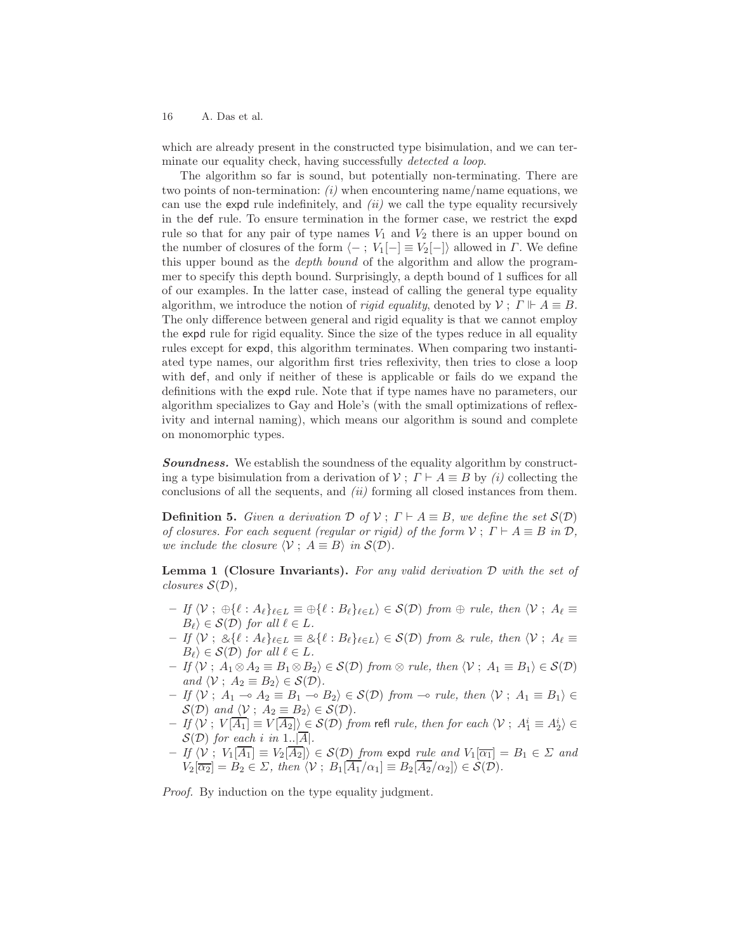which are already present in the constructed type bisimulation, and we can terminate our equality check, having successfully *detected a loop*.

The algorithm so far is sound, but potentially non-terminating. There are two points of non-termination:  $(i)$  when encountering name/name equations, we can use the expd rule indefinitely, and  $(ii)$  we call the type equality recursively in the def rule. To ensure termination in the former case, we restrict the expd rule so that for any pair of type names  $V_1$  and  $V_2$  there is an upper bound on the number of closures of the form  $\langle -; V_1[-] \equiv V_2[-] \rangle$  allowed in  $\Gamma$ . We define this upper bound as the depth bound of the algorithm and allow the programmer to specify this depth bound. Surprisingly, a depth bound of 1 suffices for all of our examples. In the latter case, instead of calling the general type equality algorithm, we introduce the notion of *rigid equality*, denoted by  $\mathcal{V}$ ;  $\Gamma \Vdash A \equiv B$ . The only difference between general and rigid equality is that we cannot employ the expd rule for rigid equality. Since the size of the types reduce in all equality rules except for expd, this algorithm terminates. When comparing two instantiated type names, our algorithm first tries reflexivity, then tries to close a loop with def, and only if neither of these is applicable or fails do we expand the definitions with the expd rule. Note that if type names have no parameters, our algorithm specializes to Gay and Hole's (with the small optimizations of reflexivity and internal naming), which means our algorithm is sound and complete on monomorphic types.

Soundness. We establish the soundness of the equality algorithm by constructing a type bisimulation from a derivation of  $\mathcal{V}$ :  $\Gamma \vdash A \equiv B$  by (i) collecting the conclusions of all the sequents, and  $(ii)$  forming all closed instances from them.

**Definition 5.** Given a derivation D of V ;  $\Gamma \vdash A \equiv B$ , we define the set  $S(\mathcal{D})$ of closures. For each sequent (regular or rigid) of the form  $V: \Gamma \vdash A \equiv B$  in  $D$ , we include the closure  $\langle V : A \equiv B \rangle$  in  $\mathcal{S}(\mathcal{D})$ .

<span id="page-15-0"></span>**Lemma 1 (Closure Invariants).** For any valid derivation  $\mathcal{D}$  with the set of closures  $\mathcal{S}(\mathcal{D}),$ 

- $-If(V; \bigoplus \{\ell : A_{\ell}\}_{\ell \in L} \equiv \bigoplus \{\ell : B_{\ell}\}_{\ell \in L} \rangle \in \mathcal{S}(\mathcal{D})$  from  $\bigoplus$  rule, then  $\langle V; A_{\ell} \equiv$  $B_{\ell} \rangle \in \mathcal{S}(\mathcal{D})$  for all  $\ell \in L$ .
- $-If \langle V ; \&\{\ell : A_{\ell}\}_{\ell \in L} \equiv \&\{\ell : B_{\ell}\}_{\ell \in L} \rangle \in \mathcal{S}(\mathcal{D})$  from & rule, then  $\langle V ; A_{\ell} \equiv$  $B_{\ell}$   $\in$   $S(D)$  for all  $\ell \in L$ .
- $-If(V; A_1 \otimes A_2 \equiv B_1 \otimes B_2 \in S(\mathcal{D})$  from  $\otimes$  rule, then  $\langle V; A_1 \equiv B_1 \rangle \in S(\mathcal{D})$ and  $\langle V : A_2 \equiv B_2 \rangle \in \mathcal{S}(\mathcal{D}).$
- $-If(V; A_1 \rightharpoonup A_2 \equiv B_1 \rightharpoonup B_2 \rangle \in \mathcal{S}(\mathcal{D})$  from  $-\circ$  rule, then  $\langle V; A_1 \equiv B_1 \rangle \in$  $\mathcal{S}(\mathcal{D})$  and  $\langle \mathcal{V} : A_2 \equiv B_2 \rangle \in \mathcal{S}(\mathcal{D})$ .
- $-$  If  $\langle \mathcal{V} \, ; \, V[\overline{A_1}] \equiv V[\overline{A_2}] \rangle \in \mathcal{S}(\mathcal{D})$  from refl rule, then for each  $\langle \mathcal{V} \, ; \, A_1^i \equiv A_2^i \rangle \in \mathcal{S}(\mathcal{D})$  $\mathcal{S}(\mathcal{D})$  for each i in 1... $|\overline{A}|$ .
- $-$  If  $\langle {\cal V} \; ; \; V_1[A_1] \equiv V_2[A_2] \rangle \in {\cal S}({\cal D})$  from  $\exp$ d rule and  $V_1[\overline{\alpha_1}] = B_1 \in \Sigma$  and  $V_2[\overline{\alpha_2}] = B_2 \in \Sigma$ , then  $\langle V : B_1[A_1/\alpha_1] \equiv B_2[A_2/\alpha_2] \rangle \in \mathcal{S}(\mathcal{D})$ .

Proof. By induction on the type equality judgment.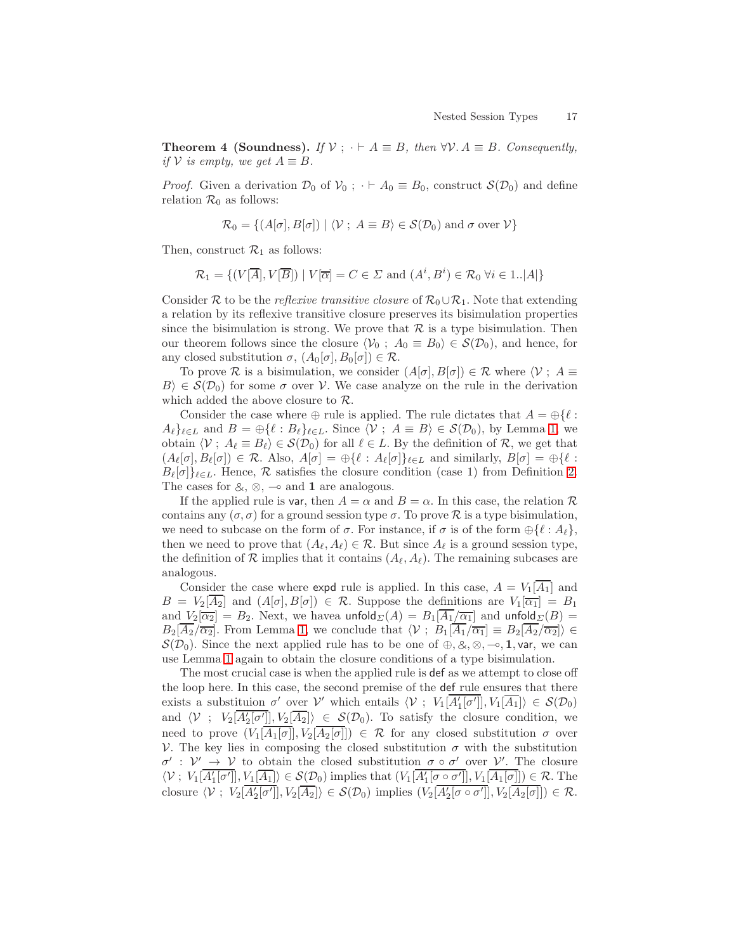**Theorem 4 (Soundness).** If  $V$ ;  $\cdot \vdash A \equiv B$ , then  $\forall V$ .  $A \equiv B$ . Consequently, if  $V$  is empty, we get  $A \equiv B$ .

*Proof.* Given a derivation  $\mathcal{D}_0$  of  $\mathcal{V}_0$ ;  $\cdot \vdash A_0 \equiv B_0$ , construct  $\mathcal{S}(\mathcal{D}_0)$  and define relation  $\mathcal{R}_0$  as follows:

$$
\mathcal{R}_0 = \{ (A[\sigma], B[\sigma]) \mid \langle \mathcal{V} \, ; \, A \equiv B \rangle \in \mathcal{S}(\mathcal{D}_0) \text{ and } \sigma \text{ over } \mathcal{V} \}
$$

Then, construct  $\mathcal{R}_1$  as follows:

$$
\mathcal{R}_1 = \{ (V[\overline{A}], V[\overline{B}]) \mid V[\overline{\alpha}] = C \in \Sigma \text{ and } (A^i, B^i) \in \mathcal{R}_0 \ \forall i \in 1..|A| \}
$$

Consider R to be the reflexive transitive closure of  $\mathcal{R}_0 \cup \mathcal{R}_1$ . Note that extending a relation by its reflexive transitive closure preserves its bisimulation properties since the bisimulation is strong. We prove that  $R$  is a type bisimulation. Then our theorem follows since the closure  $\langle V_0 ; A_0 \equiv B_0 \rangle \in \mathcal{S}(\mathcal{D}_0)$ , and hence, for any closed substitution  $\sigma$ ,  $(A_0[\sigma], B_0[\sigma]) \in \mathcal{R}$ .

To prove R is a bisimulation, we consider  $(A[\sigma], B[\sigma]) \in \mathcal{R}$  where  $\langle \mathcal{V} : A \equiv$  $B \in \mathcal{S}(\mathcal{D}_0)$  for some  $\sigma$  over V. We case analyze on the rule in the derivation which added the above closure to  $\mathcal R.$ 

Consider the case where  $\oplus$  rule is applied. The rule dictates that  $A = \oplus \{ \ell :$  $A_{\ell}$ <sub>} $\ell \in L$ </sub> and  $B = \bigoplus \{ \ell : B_{\ell} \}_{\ell \in L}$ . Since  $\langle \mathcal{V} : A \equiv B \rangle \in \mathcal{S}(\mathcal{D}_0)$ , by Lemma [1,](#page-15-0) we obtain  $\langle V : A_{\ell} \equiv B_{\ell} \rangle \in \mathcal{S}(\mathcal{D}_0)$  for all  $\ell \in L$ . By the definition of R, we get that  $(A_{\ell}[\sigma], B_{\ell}[\sigma]) \in \mathcal{R}$ . Also,  $A[\sigma] = \bigoplus \{ \ell : A_{\ell}[\sigma] \}_{\ell \in L}$  and similarly,  $B[\sigma] = \bigoplus \{ \ell : A_{\ell}[\sigma] \}_{\ell \in L}$  $B_{\ell}[\sigma]\}_{\ell \in L}$ . Hence,  $\mathcal R$  satisfies the closure condition (case 1) from Definition [2.](#page-7-1) The cases for  $\&$ ,  $\&$ ,  $\rightarrow$  and 1 are analogous.

If the applied rule is var, then  $A = \alpha$  and  $B = \alpha$ . In this case, the relation  $\mathcal R$ contains any  $(\sigma, \sigma)$  for a ground session type  $\sigma$ . To prove  $\mathcal R$  is a type bisimulation, we need to subcase on the form of  $\sigma$ . For instance, if  $\sigma$  is of the form  $\bigoplus \{ \ell : A_{\ell} \},\$ then we need to prove that  $(A_{\ell}, A_{\ell}) \in \mathcal{R}$ . But since  $A_{\ell}$  is a ground session type, the definition of  $\mathcal R$  implies that it contains  $(A_\ell, A_\ell)$ . The remaining subcases are analogous.

Consider the case where expd rule is applied. In this case,  $A = V_1[A_1]$  and  $B = V_2[\overline{A_2}]$  and  $(A[\sigma], B[\sigma]) \in \mathcal{R}$ . Suppose the definitions are  $V_1[\overline{\alpha_1}] = B_1$ and  $V_2[\overline{\alpha_2}] = B_2$ . Next, we have unfold  $\Gamma(A) = B_1[\overline{A_1}/\overline{\alpha_1}]$  and unfold  $\Gamma(B) =$  $B_2[\overline{A_2}/\overline{\alpha_2}]$ . From Lemma [1,](#page-15-0) we conclude that  $\langle V; B_1[\overline{A_1}/\overline{\alpha_1}] \equiv B_2[\overline{A_2}/\overline{\alpha_2}] \rangle \in$  $S(\mathcal{D}_0)$ . Since the next applied rule has to be one of  $\oplus, \otimes, \otimes, \neg \circ, \mathbf{1}$ , var, we can use Lemma [1](#page-15-0) again to obtain the closure conditions of a type bisimulation.

The most crucial case is when the applied rule is def as we attempt to close off the loop here. In this case, the second premise of the def rule ensures that there exists a substituion  $\sigma'$  over  $\mathcal{V}'$  which entails  $\langle \mathcal{V} : V_1[\overline{A'_1[\sigma']}], V_1[\overline{A_1}] \rangle \in \mathcal{S}(\mathcal{D}_0)$ and  $\langle V ; V_2[\overline{A'_2[\sigma']}], V_2[\overline{A_2}] \rangle \in S(\mathcal{D}_0)$ . To satisfy the closure condition, we need to prove  $(V_1[\overline{A_1[\sigma]}], V_2[\overline{A_2[\sigma]}]) \in \mathcal{R}$  for any closed substitution  $\sigma$  over V. The key lies in composing the closed substitution  $\sigma$  with the substitution  $\sigma'$ :  $\mathcal{V}' \to \mathcal{V}$  to obtain the closed substitution  $\sigma \circ \sigma'$  over  $\mathcal{V}'$ . The closure  $\langle V, V_1[\overline{A'_1[\sigma']}], V_1[\overline{A_1}] \rangle \in \mathcal{S}(\mathcal{D}_0)$  implies that  $(V_1[\overline{A'_1[\sigma \circ \sigma']}], V_1[\overline{A_1[\sigma]}]) \in \mathcal{R}$ . The closure  $\langle V, V_2[\overline{A'_2[\sigma']}], V_2[\overline{A_2}] \rangle \in \mathcal{S}(\mathcal{D}_0)$  implies  $(V_2[\overline{A'_2[\sigma \circ \sigma']}], V_2[\overline{A_2[\sigma]}]) \in \mathcal{R}$ .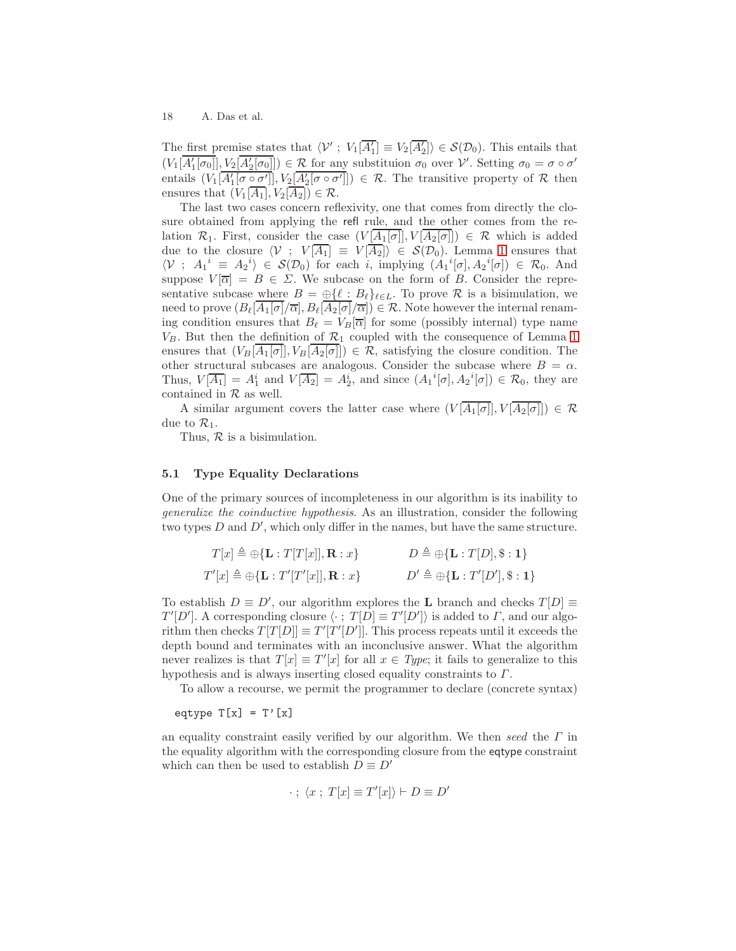The first premise states that  $\langle V' : V_1 \overline{A'_1} \equiv V_2 \overline{A'_2} \rangle \in \mathcal{S}(\mathcal{D}_0)$ . This entails that  $(V_1[\overline{A'_1[\sigma_0]}], V_2[\overline{A'_2[\sigma_0]}]) \in \mathcal{R}$  for any substituion  $\sigma_0$  over  $\mathcal{V}'$ . Setting  $\sigma_0 = \sigma \circ \sigma'$ entails  $(V_1[\overline{A'_1[\sigma\circ\sigma']}], V_2[\overline{A'_2[\sigma\circ\sigma']}]$   $\in \mathcal{R}$ . The transitive property of  $\mathcal R$  then ensures that  $(V_1[\overline{A_1}], V_2[\overline{A_2}]) \in \mathcal{R}$ .

The last two cases concern reflexivity, one that comes from directly the closure obtained from applying the refl rule, and the other comes from the relation  $\mathcal{R}_1$ . First, consider the case  $(V[\overline{A_1[\sigma]}], V[\overline{A_2[\sigma]}]) \in \mathcal{R}$  which is added due to the closure  $\langle V ; V[\overline{A_1}] \equiv V[\overline{A_2}] \rangle \in \mathcal{S}(\mathcal{D}_0)$ . Lemma [1](#page-15-0) ensures that  $\langle V, A_1^i \equiv A_2^i \rangle \in \mathcal{S}(\mathcal{D}_0)$  for each i, implying  $(A_1^i[\sigma], A_2^i[\sigma]) \in \mathcal{R}_0$ . And suppose  $V[\overline{\alpha}] = B \in \Sigma$ . We subcase on the form of B. Consider the representative subcase where  $B = \bigoplus \{ \ell : B_{\ell} \}_{\ell \in L}$ . To prove  $\mathcal R$  is a bisimulation, we need to prove  $(B_{\ell}[A_1[\sigma]/\overline{\alpha}], B_{\ell}[A_2[\sigma]/\overline{\alpha}]) \in \mathcal{R}$ . Note however the internal renaming condition ensures that  $B_{\ell} = V_B[\overline{\alpha}]$  for some (possibly internal) type name  $V_B$ . But then the definition of  $\mathcal{R}_1$  coupled with the consequence of Lemma [1](#page-15-0) ensures that  $(V_B[\overline{A_1[\sigma]}], V_B[\overline{A_2[\sigma]}]) \in \mathcal{R}$ , satisfying the closure condition. The other structural subcases are analogous. Consider the subcase where  $B = \alpha$ . Thus,  $V[\overline{A_1}] = A_1^i$  and  $V[\overline{A_2}] = A_2^i$ , and since  $(A_1^i[\sigma], A_2^i[\sigma]) \in \mathcal{R}_0$ , they are contained in  $R$  as well.

A similar argument covers the latter case where  $(V[\overline{A_1[\sigma]}], V[\overline{A_2[\sigma]}]) \in \mathcal{R}$ due to  $\mathcal{R}_1$ .

Thus,  $R$  is a bisimulation.

## <span id="page-17-0"></span>5.1 Type Equality Declarations

One of the primary sources of incompleteness in our algorithm is its inability to generalize the coinductive hypothesis. As an illustration, consider the following two types  $D$  and  $D'$ , which only differ in the names, but have the same structure.

| $T[x] \triangleq \bigoplus {\bf \{L} : T[T[x]], R:x}$     | $D \triangleq \bigoplus \{ \mathbf{L} : T[D], \$ : \mathbf{1} \}$    |
|-----------------------------------------------------------|----------------------------------------------------------------------|
| $T'[x] \triangleq \bigoplus {\bf \{L}: T'[T'[x]], R:x\}}$ | $D' \triangleq \bigoplus \{ \mathbf{L} : T'[D'], \$ : \mathbf{1} \}$ |

To establish  $D \equiv D'$ , our algorithm explores the **L** branch and checks  $T[D] \equiv$  $T'[D']$ . A corresponding closure  $\langle \cdot ; T[D] \equiv T'[D'] \rangle$  is added to  $\Gamma$ , and our algorithm then checks  $T[T[D]] \equiv T'[T'[D']]$ . This process repeats until it exceeds the depth bound and terminates with an inconclusive answer. What the algorithm never realizes is that  $T[x] \equiv T'[x]$  for all  $x \in Type$ ; it fails to generalize to this hypothesis and is always inserting closed equality constraints to Γ.

To allow a recourse, we permit the programmer to declare (concrete syntax)

eqtype  $T[x] = T'[x]$ 

an equality constraint easily verified by our algorithm. We then seed the  $\Gamma$  in the equality algorithm with the corresponding closure from the eqtype constraint which can then be used to establish  $D \equiv D'$ 

$$
\cdot \; ; \; \langle x \; ; \; T[x] \equiv T'[x] \rangle \vdash D \equiv D'
$$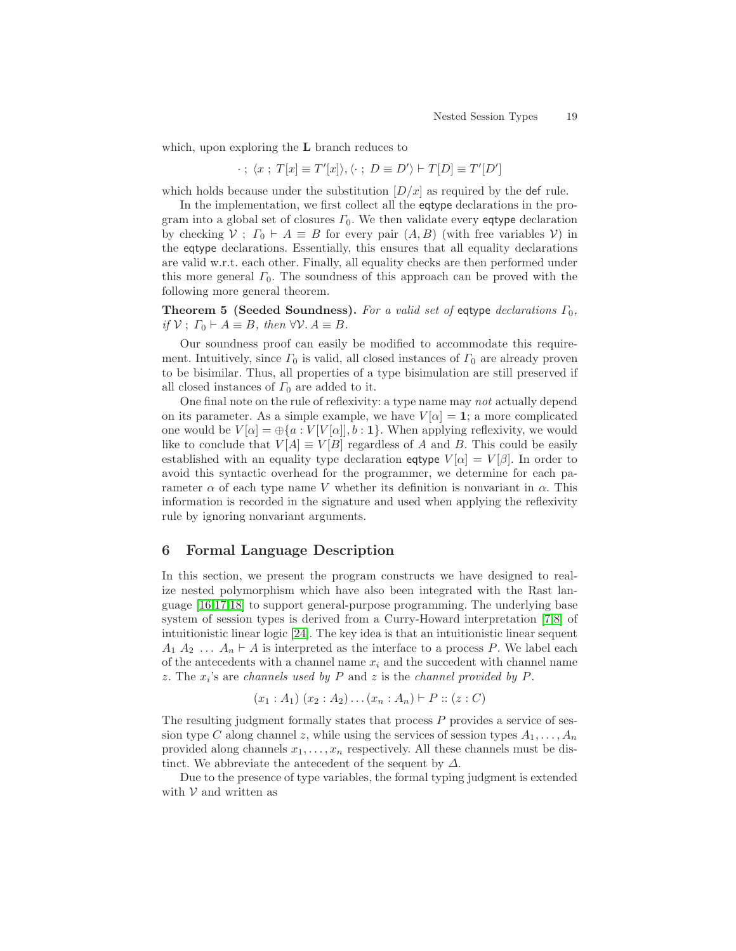which, upon exploring the **L** branch reduces to

<span id="page-18-1"></span>
$$
\cdot \; ; \; \langle x \; ; \; T[x] \equiv T'[x] \rangle, \langle \cdot \; ; \; D \equiv D' \rangle \vdash T[D] \equiv T'[D']
$$

which holds because under the substitution  $[D/x]$  as required by the def rule.

In the implementation, we first collect all the eqtype declarations in the program into a global set of closures  $\Gamma_0$ . We then validate every eqtype declaration by checking  $V$ ;  $\Gamma_0 \vdash A \equiv B$  for every pair  $(A, B)$  (with free variables  $V$ ) in the eqtype declarations. Essentially, this ensures that all equality declarations are valid w.r.t. each other. Finally, all equality checks are then performed under this more general  $\Gamma_0$ . The soundness of this approach can be proved with the following more general theorem.

**Theorem 5 (Seeded Soundness).** For a valid set of eqtype declarations  $\Gamma_0$ , if  $V$ ;  $\Gamma_0 \vdash A \equiv B$ , then  $\forall V$ .  $A \equiv B$ .

Our soundness proof can easily be modified to accommodate this requirement. Intuitively, since  $\Gamma_0$  is valid, all closed instances of  $\Gamma_0$  are already proven to be bisimilar. Thus, all properties of a type bisimulation are still preserved if all closed instances of  $\Gamma_0$  are added to it.

One final note on the rule of reflexivity: a type name may not actually depend on its parameter. As a simple example, we have  $V[\alpha] = 1$ ; a more complicated one would be  $V[\alpha] = \bigoplus \{a : V[V[\alpha]], b : \mathbf{1}\}\)$ . When applying reflexivity, we would like to conclude that  $V[A] \equiv V[B]$  regardless of A and B. This could be easily established with an equality type declaration eqtype  $V[\alpha] = V[\beta]$ . In order to avoid this syntactic overhead for the programmer, we determine for each parameter  $\alpha$  of each type name V whether its definition is nonvariant in  $\alpha$ . This information is recorded in the signature and used when applying the reflexivity rule by ignoring nonvariant arguments.

### <span id="page-18-0"></span>6 Formal Language Description

In this section, we present the program constructs we have designed to realize nested polymorphism which have also been integrated with the Rast language [\[16](#page-32-2)[,17](#page-33-7)[,18\]](#page-33-8) to support general-purpose programming. The underlying base system of session types is derived from a Curry-Howard interpretation [\[7](#page-32-0)[,8\]](#page-32-1) of intuitionistic linear logic [\[24\]](#page-33-11). The key idea is that an intuitionistic linear sequent  $A_1 \ A_2 \ \ldots \ A_n \vdash A$  is interpreted as the interface to a process P. We label each of the antecedents with a channel name  $x_i$  and the succedent with channel name z. The  $x_i$ 's are channels used by P and z is the channel provided by P.

$$
(x_1 : A_1) (x_2 : A_2) \dots (x_n : A_n) \vdash P :: (z : C)
$$

The resulting judgment formally states that process  $P$  provides a service of session type C along channel z, while using the services of session types  $A_1, \ldots, A_n$ provided along channels  $x_1, \ldots, x_n$  respectively. All these channels must be distinct. We abbreviate the antecedent of the sequent by  $\Delta$ .

Due to the presence of type variables, the formal typing judgment is extended with  $V$  and written as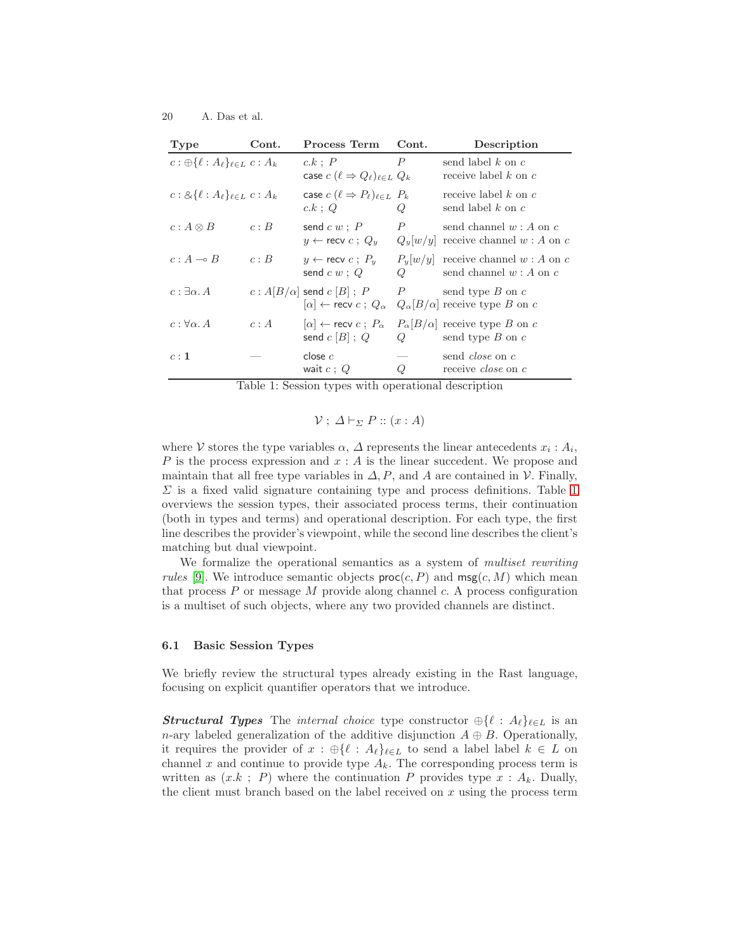<span id="page-19-0"></span>

| Type                                                      | Cont. | <b>Process Term</b>                                                               | Cont.                          | Description                                                        |
|-----------------------------------------------------------|-------|-----------------------------------------------------------------------------------|--------------------------------|--------------------------------------------------------------------|
| $c: \bigoplus \{\ell : A_{\ell}\}_{\ell \in L} c : A_{k}$ |       | $c.k$ ; $P$<br>case $c$ $(\ell \Rightarrow Q_{\ell})_{\ell \in L} Q_k$            | $\boldsymbol{P}$               | send label $k$ on $c$<br>receive label $k$ on $c$                  |
| $c: \mathcal{L}\{\ell : A_{\ell}\}_{\ell \in L} c: A_{k}$ |       | case $c$ $(\ell \Rightarrow P_{\ell})_{\ell \in L}$ $P_{k}$<br>c.k:Q              | Q                              | receive label $k$ on $c$<br>send label $k$ on $c$                  |
| $c: A \otimes B$                                          | c: B  | send $c w : P$<br>$y \leftarrow$ recv $c : Q_y$                                   | $\boldsymbol{P}$<br>$Q_y w/y $ | send channel $w : A$ on c<br>receive channel $w : A$ on c          |
| $c: A \rightarrow B$                                      | c:B   | $y \leftarrow$ recv $c$ ; $P_u$<br>send $c w : Q$                                 | Q                              | $P_y[w/y]$ receive channel w : A on c<br>send channel $w : A$ on c |
| $c: \exists \alpha. A$                                    |       | $c: A[B/\alpha]$ send $c[B]$ ; P<br>$[\alpha] \leftarrow$ recv $c$ ; $Q_{\alpha}$ | P                              | send type $B$ on $c$<br>$Q_{\alpha}[B/\alpha]$ receive type B on c |
| $c: \forall \alpha$ . A                                   | c:A   | $ \alpha  \leftarrow$ recv $c$ ; $P_{\alpha}$<br>send $c [B]$ ; Q                 | Q                              | $P_{\alpha} B/\alpha $ receive type B on c<br>send type $B$ on $c$ |
| c:1                                                       |       | close $c$<br>wait $c: Q$                                                          | Q                              | send <i>close</i> on c<br>receive <i>close</i> on c                |

Table 1: Session types with operational description

 $\mathcal{V}$ ;  $\Delta \vdash_{\Sigma} P :: (x : A)$ 

where V stores the type variables  $\alpha$ ,  $\Delta$  represents the linear antecedents  $x_i : A_i$ ,  $P$  is the process expression and  $x : A$  is the linear succedent. We propose and maintain that all free type variables in  $\Delta$ , P, and A are contained in V. Finally,  $\Sigma$  is a fixed valid signature containing type and process definitions. Table [1](#page-19-0) overviews the session types, their associated process terms, their continuation (both in types and terms) and operational description. For each type, the first line describes the provider's viewpoint, while the second line describes the client's matching but dual viewpoint.

We formalize the operational semantics as a system of multiset rewriting *rules* [\[9\]](#page-32-6). We introduce semantic objects  $\text{proc}(c, P)$  and  $\text{msg}(c, M)$  which mean that process  $P$  or message  $M$  provide along channel  $c$ . A process configuration is a multiset of such objects, where any two provided channels are distinct.

### 6.1 Basic Session Types

We briefly review the structural types already existing in the Rast language, focusing on explicit quantifier operators that we introduce.

**Structural Types** The internal choice type constructor  $\bigoplus \{\ell : A_{\ell}\}_{\ell \in L}$  is an n-ary labeled generalization of the additive disjunction  $A \oplus B$ . Operationally, it requires the provider of  $x : \bigoplus \{ \ell : A_{\ell} \}_{\ell \in L}$  to send a label label  $k \in L$  on channel x and continue to provide type  $A_k$ . The corresponding process term is written as  $(x.k ; P)$  where the continuation P provides type  $x : A_k$ . Dually, the client must branch based on the label received on  $x$  using the process term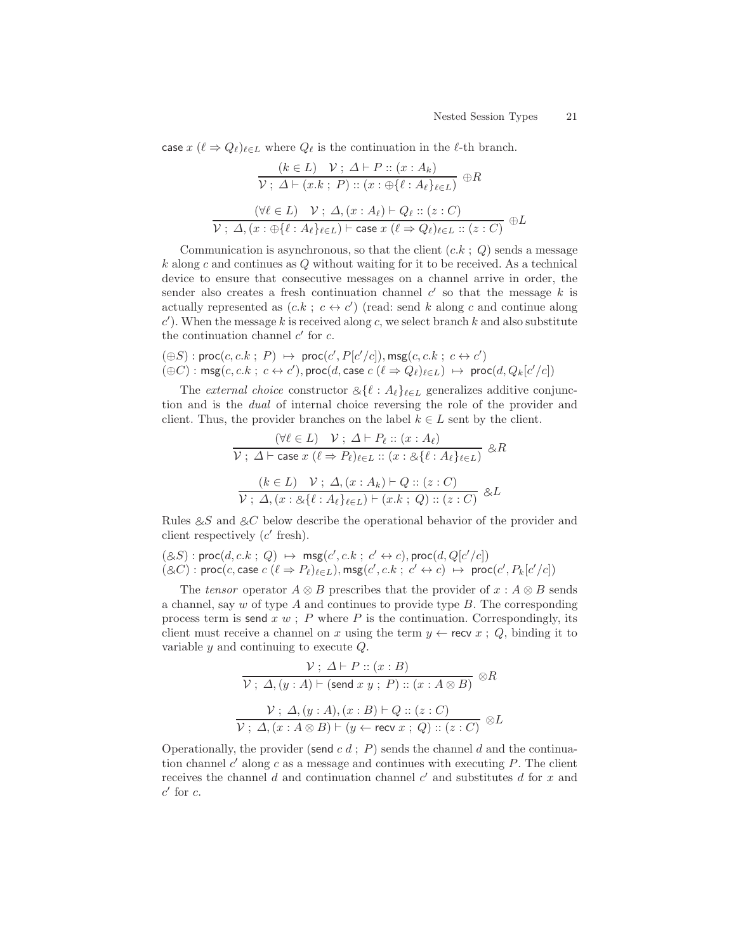case  $x$  ( $\ell \Rightarrow Q_{\ell}$ )<sub> $\ell \in L$ </sub> where  $Q_{\ell}$  is the continuation in the  $\ell$ -th branch.

$$
(k \in L) \quad \mathcal{V} \; ; \; \Delta \vdash P :: (x : A_k)
$$
\n
$$
\mathcal{V} \; ; \; \Delta \vdash (x.k \; ; \; P) :: (x : \oplus \{\ell : A_{\ell}\}_{\ell \in L}) \; \oplus R
$$
\n
$$
\frac{(\forall \ell \in L) \quad \mathcal{V} \; ; \; \Delta, (x : A_{\ell}) \vdash Q_{\ell} :: (z : C)}{\mathcal{V} \; ; \; \Delta, (x : \oplus \{\ell : A_{\ell}\}_{\ell \in L}) \vdash \text{case } x \; (\ell \Rightarrow Q_{\ell})_{\ell \in L} :: (z : C)} \; \oplus L
$$

Communication is asynchronous, so that the client  $(c.k; Q)$  sends a message  $k$  along c and continues as  $Q$  without waiting for it to be received. As a technical device to ensure that consecutive messages on a channel arrive in order, the sender also creates a fresh continuation channel  $c'$  so that the message k is actually represented as  $(c.k ; c \leftrightarrow c')$  (read: send k along c and continue along  $c'$ ). When the message k is received along c, we select branch k and also substitute the continuation channel  $c'$  for  $c$ .

$$
\begin{array}{l} (\oplus S) : \mathsf{proc}(c,c.k \; ; \; P) \; \mapsto \; \mathsf{proc}(c',P[c'/c]), \mathsf{msg}(c,c.k \; ; \; c \leftrightarrow c') \\ (\oplus C) : \mathsf{msg}(c,c.k \; ; \; c \leftrightarrow c'), \mathsf{proc}(d, \mathsf{case} \; c \; (\ell \Rightarrow Q_\ell)_{\ell \in L}) \; \mapsto \; \mathsf{proc}(d,Q_k[c'/c]) \end{array}
$$

The *external choice* constructor  $\&\{\ell : A_{\ell}\}_{\ell \in L}$  generalizes additive conjunction and is the dual of internal choice reversing the role of the provider and client. Thus, the provider branches on the label  $k \in L$  sent by the client.

$$
\frac{(\forall \ell \in L) \quad \mathcal{V} \; ; \; \Delta \vdash P_{\ell} :: (x : A_{\ell})}{\mathcal{V} \; ; \; \Delta \vdash \mathsf{case} \; x \; (\ell \Rightarrow P_{\ell})_{\ell \in L} :: (x : \mathcal{A}\{\ell : A_{\ell}\}_{\ell \in L})} \; \mathcal{B}R
$$
\n
$$
\frac{(k \in L) \quad \mathcal{V} \; ; \; \Delta, (x : A_k) \vdash Q :: (z : C)}{\mathcal{V} \; ; \; \Delta, (x : \mathcal{B}\{\ell : A_{\ell}\}_{\ell \in L}) \vdash (x.k \; ; \; Q) :: (z : C)} \; \mathcal{B}L
$$

Rules  $\&S$  and  $\&C$  below describe the operational behavior of the provider and client respectively  $(c'$  fresh).

 $(S(S) : \text{proc}(d, c.k ; Q) \rightarrow \text{msg}(c', c.k ; c' \leftrightarrow c), \text{proc}(d, Q[c'/c])$  $(\& C)$  : proc $(c, \text{case } c \ (\ell \Rightarrow P_{\ell})_{\ell \in L}), \text{msg}(c', c.k ;\ c' \leftrightarrow c) \ \mapsto \ \text{proc}(c', P_{k}[c'/c])$ 

The tensor operator  $A \otimes B$  prescribes that the provider of  $x : A \otimes B$  sends a channel, say  $w$  of type  $A$  and continues to provide type  $B$ . The corresponding process term is send  $x \, w$ ;  $P$  where  $P$  is the continuation. Correspondingly, its client must receive a channel on x using the term  $y \leftarrow$  recv x; Q, binding it to variable  $y$  and continuing to execute  $Q$ .

$$
\mathcal{V}: \Delta \vdash P :: (x : B)
$$
\n
$$
\mathcal{V}: \Delta, (y : A) \vdash (\text{send } x y ; P) :: (x : A \otimes B) \otimes R
$$
\n
$$
\mathcal{V}: \Delta, (y : A), (x : B) \vdash Q :: (z : C)
$$
\n
$$
\mathcal{V}: \Delta, (x : A \otimes B) \vdash (y \leftarrow \text{recv } x ; Q) :: (z : C) \otimes L
$$

Operationally, the provider (send  $c d$ ;  $P$ ) sends the channel  $d$  and the continuation channel  $c'$  along c as a message and continues with executing  $P$ . The client receives the channel  $d$  and continuation channel  $c'$  and substitutes  $d$  for  $x$  and  $c'$  for  $c$ .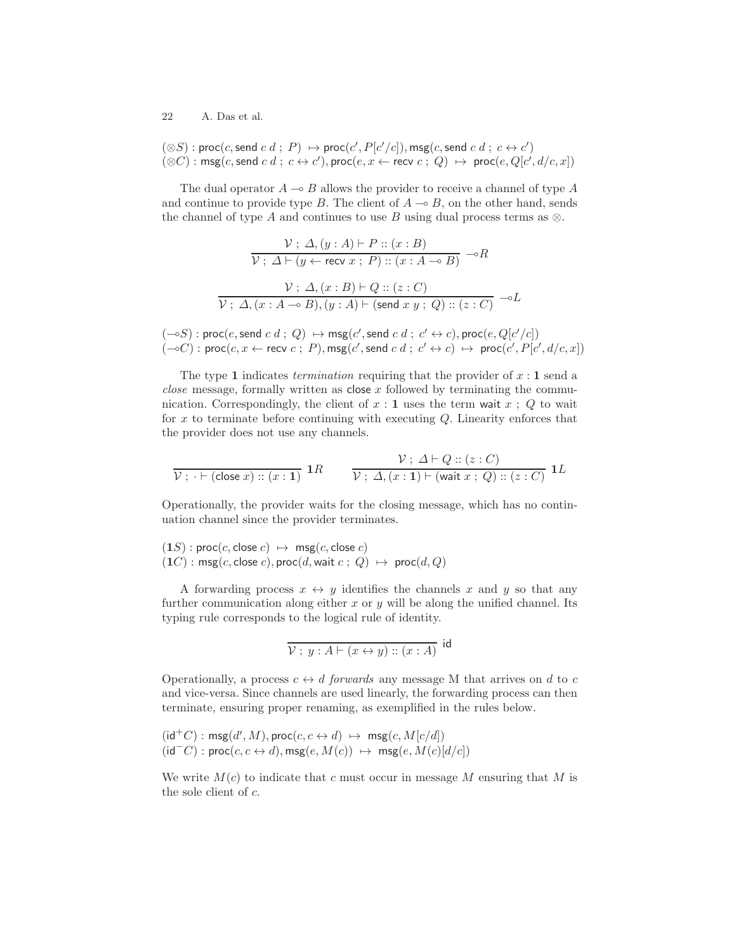$$
(\otimes S) : \text{proc}(c, \text{send } c \ d \ ; \ P) \mapsto \text{proc}(c', P[c'/c]), \text{msg}(c, \text{send } c \ d \ ; \ c \leftrightarrow c')
$$
  

$$
(\otimes C) : \text{msg}(c, \text{send } c \ d \ ; \ c \leftrightarrow c'), \text{proc}(e, x \leftarrow \text{recv } c \ ; \ Q) \mapsto \text{proc}(e, Q[c', d/c, x])
$$

The dual operator  $A \to B$  allows the provider to receive a channel of type A and continue to provide type B. The client of  $A \rightarrow B$ , on the other hand, sends the channel of type A and continues to use B using dual process terms as  $\otimes$ .

$$
\frac{\mathcal{V}: \Delta, (y:A) \vdash P :: (x:B)}{\mathcal{V}: \Delta \vdash (y \leftarrow \text{recv } x; P) :: (x:A \multimap B)} \neg R
$$
\n
$$
\frac{\mathcal{V}: \Delta, (x:B) \vdash Q :: (z:C)}{\mathcal{V}: \Delta, (x:A \multimap B), (y:A) \vdash (\text{send } x y; Q) :: (z:C)} \neg D
$$

 $(-\circ S)$  : proc $(e, \textsf{send } c \ d \ ; \ Q) \ \mapsto \mathsf{msg}(c', \textsf{send } c \ d \ ; \ c' \leftrightarrow c), \mathsf{proc}(e, Q[c'/c])$  $(¬oC)$  : proc $(c, x \leftarrow$  recv  $c$  ;  $P$ ), msg $(c',$  send  $c d$  ;  $c' \leftrightarrow c)$   $\mapsto$  proc $(c', P[c', d/c, x])$ 

The type 1 indicates *termination* requiring that the provider of  $x: 1$  send a *close* message, formally written as close  $x$  followed by terminating the communication. Correspondingly, the client of  $x: 1$  uses the term wait  $x: Q$  to wait for x to terminate before continuing with executing  $Q$ . Linearity enforces that the provider does not use any channels.

$$
\frac{\mathcal{V}\,;\,\mathcal{\Delta}\vdash Q::(z:C)}{\mathcal{V}\,;\,\mathcal{\div}\,(\mathsf{close}\;x)::(x:1)}\;1R\qquad \frac{\mathcal{V}\,;\,\mathcal{\Delta}\vdash Q::(z:C)}{\mathcal{V}\,;\,\mathcal{\Delta},(x:1)\vdash(\textsf{wait}\;x\;;\,Q)::(z:C)}\;1L
$$

Operationally, the provider waits for the closing message, which has no continuation channel since the provider terminates.

$$
(1S) : \text{proc}(c, \text{close } c) \rightarrow \text{msg}(c, \text{close } c)
$$
  

$$
(1C) : \text{msg}(c, \text{close } c), \text{proc}(d, \text{wait } c \, ; \, Q) \rightarrow \text{proc}(d, Q)
$$

A forwarding process  $x \leftrightarrow y$  identifies the channels x and y so that any further communication along either  $x$  or  $y$  will be along the unified channel. Its typing rule corresponds to the logical rule of identity.

$$
\overline{\mathcal{V}}\,;\,y:A\vdash (x\leftrightarrow y)\ ::\ (x:A)\quad\text{id}
$$

id

Operationally, a process  $c \leftrightarrow d$  forwards any message M that arrives on d to c and vice-versa. Since channels are used linearly, the forwarding process can then terminate, ensuring proper renaming, as exemplified in the rules below.

$$
(\mathsf{id}^+C) : \mathsf{msg}(d',M), \mathsf{proc}(c,c \leftrightarrow d) \mapsto \mathsf{msg}(c,M[c/d])
$$
  

$$
(\mathsf{id}^-C) : \mathsf{proc}(c,c \leftrightarrow d), \mathsf{msg}(e,M(c)) \mapsto \mathsf{msg}(e,M(c)[d/c])
$$

We write  $M(c)$  to indicate that c must occur in message M ensuring that M is the sole client of c.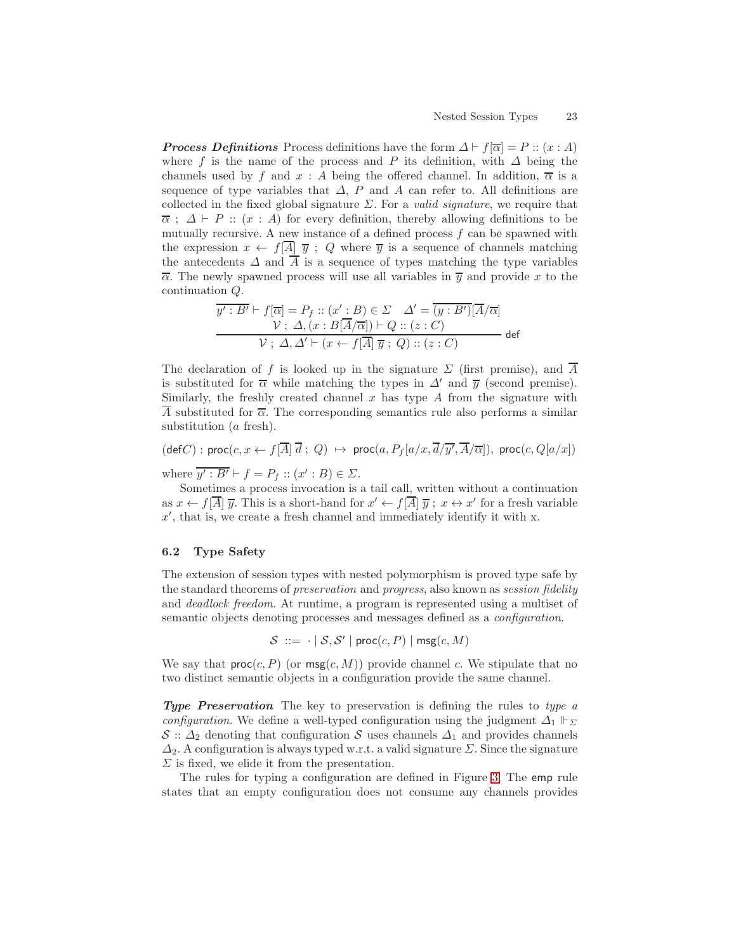**Process Definitions** Process definitions have the form  $\Delta \vdash f[\overline{\alpha}] = P :: (x : A)$ where f is the name of the process and P its definition, with  $\Delta$  being the channels used by f and  $x : A$  being the offered channel. In addition,  $\overline{\alpha}$  is a sequence of type variables that  $\Delta$ , P and A can refer to. All definitions are collected in the fixed global signature  $\Sigma$ . For a *valid signature*, we require that  $\overline{\alpha}$ ;  $\Delta \vdash P$  ::  $(x : A)$  for every definition, thereby allowing definitions to be mutually recursive. A new instance of a defined process  $f$  can be spawned with the expression  $x \leftarrow f[\overline{A}] \overline{y}$ ; Q where  $\overline{y}$  is a sequence of channels matching the antecedents  $\Delta$  and  $\overline{A}$  is a sequence of types matching the type variables  $\overline{\alpha}$ . The newly spawned process will use all variables in  $\overline{y}$  and provide x to the continuation Q.

$$
\frac{\overline{y'} : B' \vdash f[\overline{\alpha}] = P_f :: (x' : B) \in \Sigma \quad \Delta' = \overline{(y : B')}[\overline{A}/\overline{\alpha}] \mathcal{V} : \Delta, (x : B[\overline{A}/\overline{\alpha}]) \vdash Q :: (z : C) \mathcal{V} : \Delta, \Delta' \vdash (x \leftarrow f[\overline{A}] \ \overline{y} ; Q) :: (z : C)
$$
def

The declaration of f is looked up in the signature  $\Sigma$  (first premise), and  $\overline{A}$ is substituted for  $\overline{\alpha}$  while matching the types in  $\Delta'$  and  $\overline{y}$  (second premise). Similarly, the freshly created channel x has type  $A$  from the signature with  $\overline{A}$  substituted for  $\overline{\alpha}$ . The corresponding semantics rule also performs a similar substitution (a fresh).

$$
(\text{def } C): \text{proc}(c, x \leftarrow f[\overline{A}] \ \overline{d} \ ; \ Q) \ \mapsto \ \text{proc}(a, P_f[a/x, \overline{d}/\overline{y'}, \overline{A}/\overline{\alpha}]), \ \text{proc}(c, Q[a/x])
$$

where  $\overline{y' : B'} \vdash f = P_f :: (x' : B) \in \Sigma$ .

Sometimes a process invocation is a tail call, written without a continuation as  $x \leftarrow f[\overline{A}] \overline{y}$ . This is a short-hand for  $x' \leftarrow f[\overline{A}] \overline{y}$ ;  $x \leftrightarrow x'$  for a fresh variable  $x'$ , that is, we create a fresh channel and immediately identify it with x.

### 6.2 Type Safety

The extension of session types with nested polymorphism is proved type safe by the standard theorems of *preservation* and *progress*, also known as *session fidelity* and deadlock freedom. At runtime, a program is represented using a multiset of semantic objects denoting processes and messages defined as a configuration.

$$
\mathcal{S} ::= \cdot \mid \mathcal{S}, \mathcal{S}' \mid \text{proc}(c, P) \mid \text{msg}(c, M)
$$

We say that  $\textsf{proc}(c, P)$  (or  $\textsf{msg}(c, M)$ ) provide channel c. We stipulate that no two distinct semantic objects in a configuration provide the same channel.

**Type Preservation** The key to preservation is defining the rules to type a configuration. We define a well-typed configuration using the judgment  $\Delta_1 \Vdash_{\Sigma}$  $S$  ::  $\Delta_2$  denoting that configuration S uses channels  $\Delta_1$  and provides channels  $\Delta_2$ . A configuration is always typed w.r.t. a valid signature  $\Sigma$ . Since the signature  $\Sigma$  is fixed, we elide it from the presentation.

The rules for typing a configuration are defined in Figure [3.](#page-23-1) The emp rule states that an empty configuration does not consume any channels provides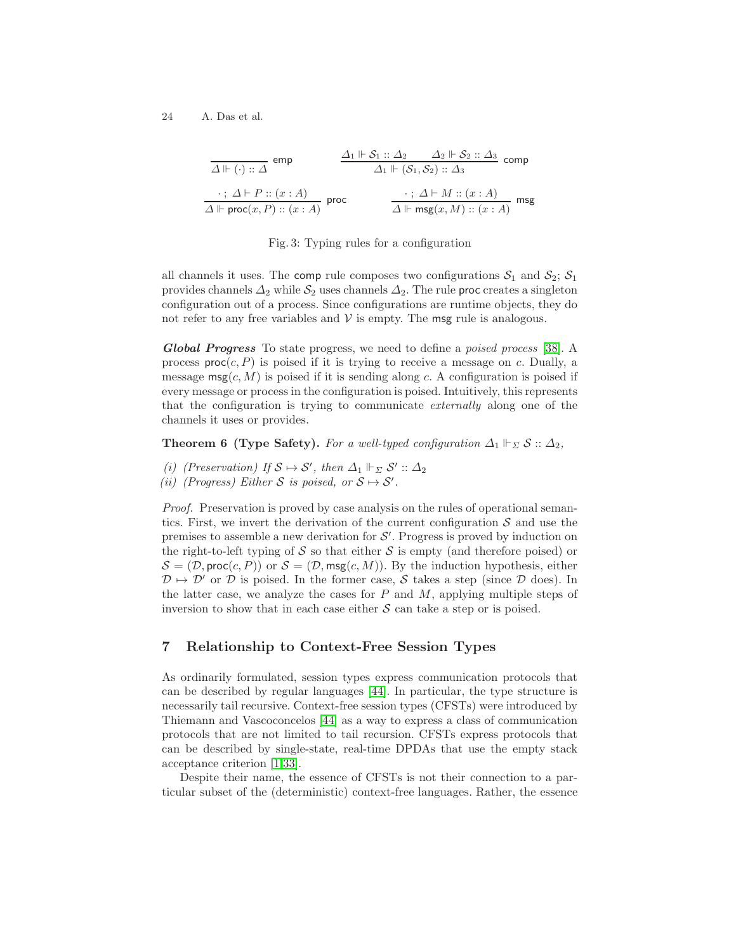<span id="page-23-1"></span>
$$
\begin{array}{c}\n\hline\n\hline\n\Delta \Vdash (\cdot) :: \Delta \quad \text{emp} \qquad \qquad \frac{\Delta_1 \Vdash \mathcal{S}_1 :: \Delta_2 \qquad \Delta_2 \Vdash \mathcal{S}_2 :: \Delta_3}{\Delta_1 \Vdash (\mathcal{S}_1, \mathcal{S}_2) :: \Delta_3} \, \text{comp} \\
\hline\n\hline\n\cdot \, ; \, \Delta \vdash P :: (x : A) \\
\hline\n\Delta \Vdash \text{proc}(x, P) :: (x : A) \, \text{proc} \qquad \qquad \frac{\cdot}{\Delta \Vdash \text{msg}(x, M) :: (x : A)} \, \text{msg}\n\end{array}
$$

Fig. 3: Typing rules for a configuration

all channels it uses. The comp rule composes two configurations  $S_1$  and  $S_2$ ;  $S_1$ provides channels  $\Delta_2$  while  $\mathcal{S}_2$  uses channels  $\Delta_2$ . The rule proc creates a singleton configuration out of a process. Since configurations are runtime objects, they do not refer to any free variables and  $V$  is empty. The msg rule is analogous.

Global Progress To state progress, we need to define a poised process [\[38\]](#page-34-8). A process  $proc(c, P)$  is poised if it is trying to receive a message on c. Dually, a message  $\mathsf{msg}(c, M)$  is poised if it is sending along c. A configuration is poised if every message or process in the configuration is poised. Intuitively, this represents that the configuration is trying to communicate externally along one of the channels it uses or provides.

**Theorem 6 (Type Safety).** For a well-typed configuration  $\Delta_1 \Vdash_{\Sigma} S :: \Delta_2$ ,

- (i) (Preservation) If  $S \mapsto S'$ , then  $\Delta_1 \Vdash_{\Sigma} S' :: \Delta_2$
- (ii) (Progress) Either S is poised, or  $S \mapsto S'$ .

Proof. Preservation is proved by case analysis on the rules of operational semantics. First, we invert the derivation of the current configuration  $S$  and use the premises to assemble a new derivation for  $\mathcal{S}'$ . Progress is proved by induction on the right-to-left typing of S so that either S is empty (and therefore poised) or  $S = (\mathcal{D}, \text{proc}(c, P))$  or  $S = (\mathcal{D}, \text{msg}(c, M))$ . By the induction hypothesis, either  $\mathcal{D} \mapsto \mathcal{D}'$  or  $\mathcal D$  is poised. In the former case, S takes a step (since  $\mathcal D$  does). In the latter case, we analyze the cases for  $P$  and  $M$ , applying multiple steps of inversion to show that in each case either  $S$  can take a step or is poised.

# <span id="page-23-0"></span>7 Relationship to Context-Free Session Types

As ordinarily formulated, session types express communication protocols that can be described by regular languages [\[44\]](#page-34-2). In particular, the type structure is necessarily tail recursive. Context-free session types (CFSTs) were introduced by Thiemann and Vascoconcelos [\[44\]](#page-34-2) as a way to express a class of communication protocols that are not limited to tail recursion. CFSTs express protocols that can be described by single-state, real-time DPDAs that use the empty stack acceptance criterion [\[1,](#page-31-0)[33\]](#page-33-10).

Despite their name, the essence of CFSTs is not their connection to a particular subset of the (deterministic) context-free languages. Rather, the essence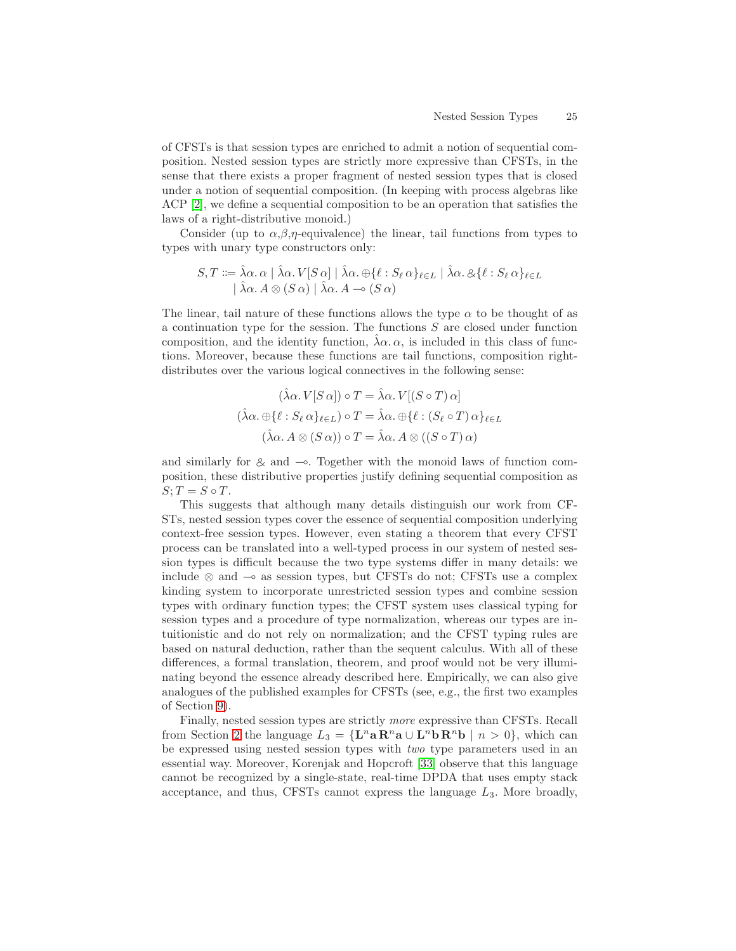of CFSTs is that session types are enriched to admit a notion of sequential composition. Nested session types are strictly more expressive than CFSTs, in the sense that there exists a proper fragment of nested session types that is closed under a notion of sequential composition. (In keeping with process algebras like ACP [\[2\]](#page-32-7), we define a sequential composition to be an operation that satisfies the laws of a right-distributive monoid.)

Consider (up to  $\alpha, \beta, \eta$ -equivalence) the linear, tail functions from types to types with unary type constructors only:

$$
S, T ::= \hat{\lambda} \alpha. \alpha \mid \hat{\lambda} \alpha. V[S \alpha] \mid \hat{\lambda} \alpha. \oplus \{\ell : S_{\ell} \alpha\}_{\ell \in L} \mid \hat{\lambda} \alpha. \& \{\ell : S_{\ell} \alpha\}_{\ell \in L} \mid \hat{\lambda} \alpha. A \otimes (S \alpha) \mid \hat{\lambda} \alpha. A \rightarrow (S \alpha)
$$

The linear, tail nature of these functions allows the type  $\alpha$  to be thought of as a continuation type for the session. The functions  $S$  are closed under function composition, and the identity function,  $\lambda \alpha$ .  $\alpha$ , is included in this class of functions. Moreover, because these functions are tail functions, composition rightdistributes over the various logical connectives in the following sense:

$$
(\hat{\lambda}\alpha. V[S \alpha]) \circ T = \hat{\lambda}\alpha. V[(S \circ T) \alpha]
$$

$$
(\hat{\lambda}\alpha. \oplus \{\ell : S_{\ell} \alpha\}_{\ell \in L}) \circ T = \hat{\lambda}\alpha. \oplus \{\ell : (S_{\ell} \circ T) \alpha\}_{\ell \in L}
$$

$$
(\hat{\lambda}\alpha. A \otimes (S \alpha)) \circ T = \hat{\lambda}\alpha. A \otimes ((S \circ T) \alpha)
$$

and similarly for  $\&$  and  $\rightarrow$ . Together with the monoid laws of function composition, these distributive properties justify defining sequential composition as  $S: T = S \circ T$ .

This suggests that although many details distinguish our work from CF-STs, nested session types cover the essence of sequential composition underlying context-free session types. However, even stating a theorem that every CFST process can be translated into a well-typed process in our system of nested session types is difficult because the two type systems differ in many details: we include ⊗ and ⊸ as session types, but CFSTs do not; CFSTs use a complex kinding system to incorporate unrestricted session types and combine session types with ordinary function types; the CFST system uses classical typing for session types and a procedure of type normalization, whereas our types are intuitionistic and do not rely on normalization; and the CFST typing rules are based on natural deduction, rather than the sequent calculus. With all of these differences, a formal translation, theorem, and proof would not be very illuminating beyond the essence already described here. Empirically, we can also give analogues of the published examples for CFSTs (see, e.g., the first two examples of Section [9\)](#page-26-0).

Finally, nested session types are strictly more expressive than CFSTs. Recall from Section [2](#page-2-0) the language  $L_3 = {\mathbf{L}^n \mathbf{a} \mathbf{R}^n \mathbf{a} \cup \mathbf{L}^n \mathbf{b} \mathbf{R}^n \mathbf{b} \mid n > 0}$ , which can be expressed using nested session types with two type parameters used in an essential way. Moreover, Korenjak and Hopcroft [\[33\]](#page-33-10) observe that this language cannot be recognized by a single-state, real-time DPDA that uses empty stack acceptance, and thus, CFSTs cannot express the language  $L_3$ . More broadly,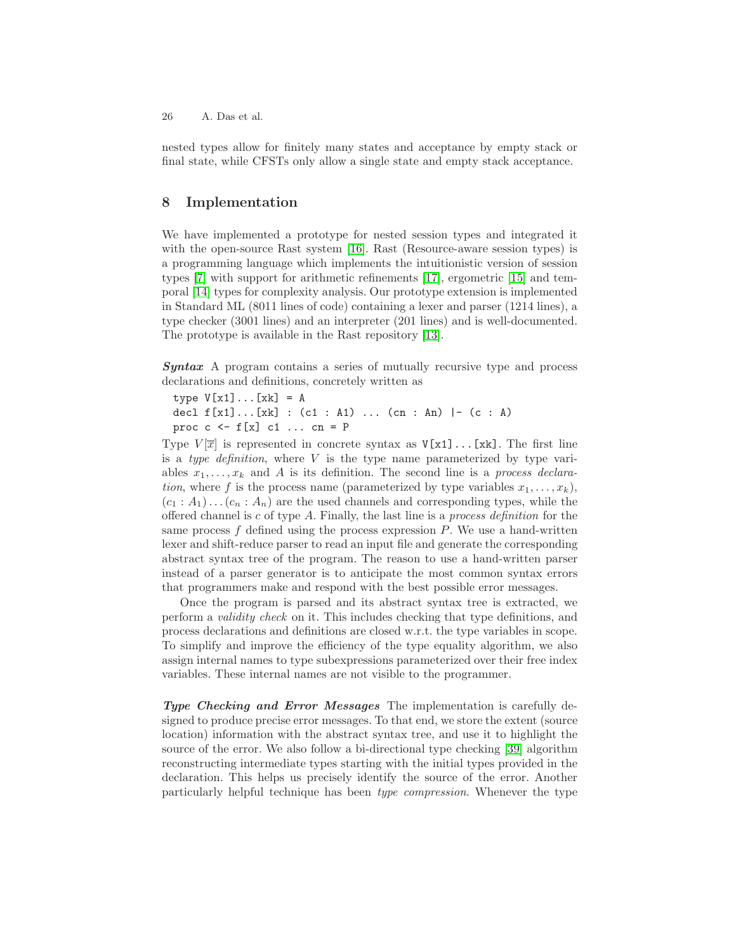nested types allow for finitely many states and acceptance by empty stack or final state, while CFSTs only allow a single state and empty stack acceptance.

## <span id="page-25-0"></span>8 Implementation

We have implemented a prototype for nested session types and integrated it with the open-source Rast system [\[16\]](#page-32-2). Rast (Resource-aware session types) is a programming language which implements the intuitionistic version of session types [\[7\]](#page-32-0) with support for arithmetic refinements [\[17\]](#page-33-7), ergometric [\[15\]](#page-32-8) and temporal [\[14\]](#page-32-9) types for complexity analysis. Our prototype extension is implemented in Standard ML (8011 lines of code) containing a lexer and parser (1214 lines), a type checker (3001 lines) and an interpreter (201 lines) and is well-documented. The prototype is available in the Rast repository [\[13\]](#page-32-10).

Syntax A program contains a series of mutually recursive type and process declarations and definitions, concretely written as

```
type V[x1] \ldots [xk] = Adecl f[x1]...[xk] : (c1 : A1) ... (cn : An) |- (c : A)
proc c \leftarrow f[x] c1 \ldots cn = P
```
Type  $V[\overline{x}]$  is represented in concrete syntax as  $V[x1] \dots [xk]$ . The first line is a type definition, where  $V$  is the type name parameterized by type variables  $x_1, \ldots, x_k$  and A is its definition. The second line is a process declaration, where f is the process name (parameterized by type variables  $x_1, \ldots, x_k$ ),  $(c_1 : A_1) \dots (c_n : A_n)$  are the used channels and corresponding types, while the offered channel is  $c$  of type  $A$ . Finally, the last line is a *process definition* for the same process  $f$  defined using the process expression  $P$ . We use a hand-written lexer and shift-reduce parser to read an input file and generate the corresponding abstract syntax tree of the program. The reason to use a hand-written parser instead of a parser generator is to anticipate the most common syntax errors that programmers make and respond with the best possible error messages.

Once the program is parsed and its abstract syntax tree is extracted, we perform a validity check on it. This includes checking that type definitions, and process declarations and definitions are closed w.r.t. the type variables in scope. To simplify and improve the efficiency of the type equality algorithm, we also assign internal names to type subexpressions parameterized over their free index variables. These internal names are not visible to the programmer.

Type Checking and Error Messages The implementation is carefully designed to produce precise error messages. To that end, we store the extent (source location) information with the abstract syntax tree, and use it to highlight the source of the error. We also follow a bi-directional type checking [\[39\]](#page-34-9) algorithm reconstructing intermediate types starting with the initial types provided in the declaration. This helps us precisely identify the source of the error. Another particularly helpful technique has been type compression. Whenever the type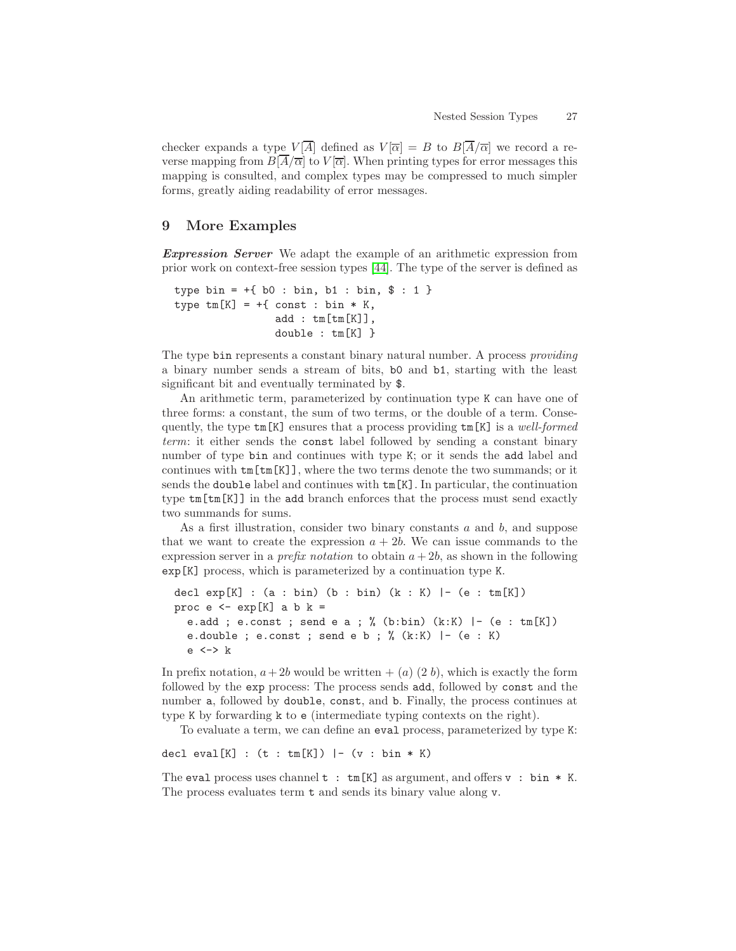checker expands a type  $V[\overline{A}]$  defined as  $V[\overline{\alpha}] = B$  to  $B[\overline{A}/\overline{\alpha}]$  we record a reverse mapping from  $B[A/\overline{\alpha}]$  to  $V[\overline{\alpha}]$ . When printing types for error messages this mapping is consulted, and complex types may be compressed to much simpler forms, greatly aiding readability of error messages.

# <span id="page-26-0"></span>9 More Examples

Expression Server We adapt the example of an arithmetic expression from prior work on context-free session types [\[44\]](#page-34-2). The type of the server is defined as

```
type bin = +{ b0 : bin, b1 : bin, $ : 1 }
type tm[K] = +\{ const : bin * K,add : tm[tm[K]],
                double : tm[K] }
```
The type bin represents a constant binary natural number. A process providing a binary number sends a stream of bits, b0 and b1, starting with the least significant bit and eventually terminated by \$.

An arithmetic term, parameterized by continuation type K can have one of three forms: a constant, the sum of two terms, or the double of a term. Consequently, the type  $\tan[K]$  ensures that a process providing  $\tan[K]$  is a well-formed term: it either sends the const label followed by sending a constant binary number of type bin and continues with type K; or it sends the add label and continues with  $\tan{\lfloor \tan{\lfloor K \rfloor}\rfloor}$ , where the two terms denote the two summands; or it sends the double label and continues with tm[K]. In particular, the continuation type tm[tm[K]] in the add branch enforces that the process must send exactly two summands for sums.

As a first illustration, consider two binary constants a and b, and suppose that we want to create the expression  $a + 2b$ . We can issue commands to the expression server in a *prefix notation* to obtain  $a + 2b$ , as shown in the following exp[K] process, which is parameterized by a continuation type K.

```
decl exp[K] : (a : bin) (b : bin) (k : K) | - (e : tm[K])proc e \leftarrow exp[K] a b k =e.add ; e.const ; send e a ; % (b:bin) (k:K) |- (e : tm[K])
  e.double ; e.const ; send e b ; \% (k:K) \vdash (e : K)
  e <-> k
```
In prefix notation,  $a+2b$  would be written  $+(a)(2 b)$ , which is exactly the form followed by the exp process: The process sends add, followed by const and the number a, followed by double, const, and b. Finally, the process continues at type K by forwarding k to e (intermediate typing contexts on the right).

To evaluate a term, we can define an eval process, parameterized by type K:

decl eval[K] :  $(t : tm[K])$   $|- (v : bin * K)$ 

The eval process uses channel  $t : tm[K]$  as argument, and offers  $v : bin * K$ . The process evaluates term t and sends its binary value along v.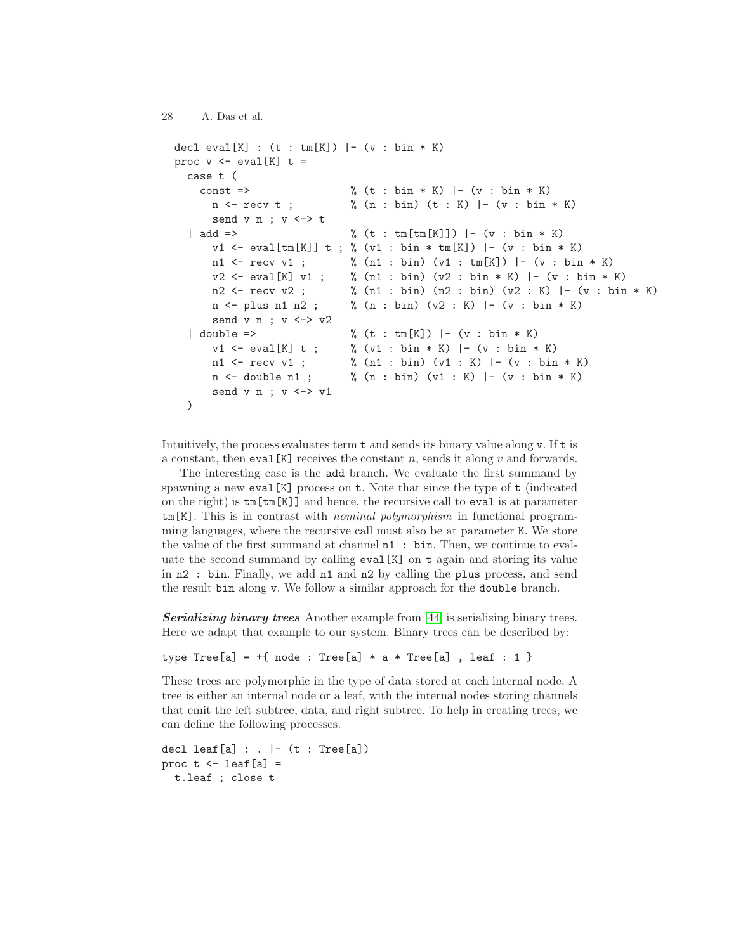```
decl eval[K] : (t : tm[K]) | - (v : bin * K)proc v \le -\text{eval}[K] t =
  case t (
    const => \frac{1}{2} (t : bin * K) |- (v : bin * K)
      n \leq recv t; \% (n : bin) (t : K) | - (v : bin * K)
      send v n ; v \leftarrow \rightarrow t| add => \frac{1}{2} (t : tm[tm[K]]) |- (v : bin * K)
      v1 <- eval[tm[K]] t ; % (v1 : bin * tm[K]) |- (v : bin * K)
      n1 <- recv v1 ; \frac{1}{2} (n1 : bin) (v1 : tm[K]) |- (v : bin * K)
      v2 \le - eval[K] v1; % (n1 : bin) (v2 : bin * K) - (v : bin * K)
      n2 <- recv v2 ; \% (n1 : bin) (n2 : bin) (v2 : K) |- (v : bin * K)
      n \leq plus n1 n2 ; % (n : bin) (v2 : K) | - (v : bin * K)
      send v n ; v <-> v2
  | double => % (t : tm[K]) |- (v : bin * K)
      v1 \leftarrow eval[K] t ; % (v1 : bin * K) |- (v : bin * K)n1 <- recv v1 ; \frac{1}{2} (n1 : bin) (v1 : K) |- (v : bin * K)
      n \le double n1 ; % (n : bin) (v1 : K) | - (v : bin * K)
      send v n ; v <-> v1
  )
```
Intuitively, the process evaluates term t and sends its binary value along v. If t is a constant, then eval [K] receives the constant n, sends it along v and forwards.

The interesting case is the add branch. We evaluate the first summand by spawning a new eval[K] process on t. Note that since the type of t (indicated on the right) is tm[tm[K]] and hence, the recursive call to eval is at parameter  $tm[K]$ . This is in contrast with *nominal polymorphism* in functional programming languages, where the recursive call must also be at parameter K. We store the value of the first summand at channel n1 : bin. Then, we continue to evaluate the second summand by calling  $eval[K]$  on t again and storing its value in n2 : bin. Finally, we add n1 and n2 by calling the plus process, and send the result bin along v. We follow a similar approach for the double branch.

Serializing binary trees Another example from [\[44\]](#page-34-2) is serializing binary trees. Here we adapt that example to our system. Binary trees can be described by:

type Tree[a] =  $+$ { node : Tree[a] \* a \* Tree[a], leaf : 1 }

These trees are polymorphic in the type of data stored at each internal node. A tree is either an internal node or a leaf, with the internal nodes storing channels that emit the left subtree, data, and right subtree. To help in creating trees, we can define the following processes.

```
decl leaf[a] : | - (t : Tree[a])proc t \leq -\operatorname{leaf}[a] =
  t.leaf ; close t
```
28 A. Das et al.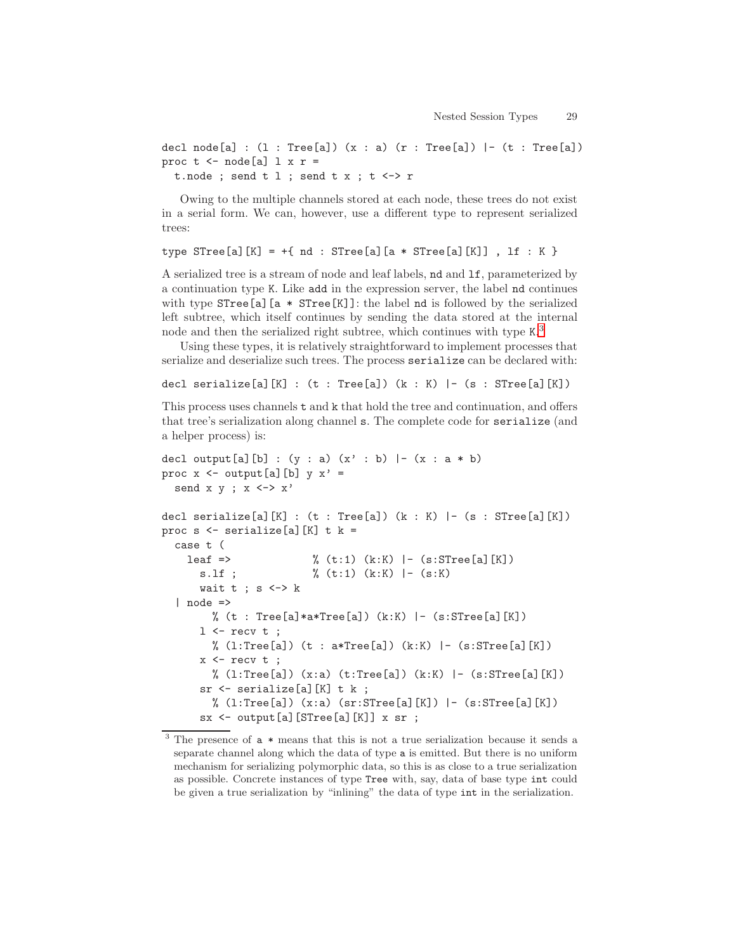decl node[a] :  $(1 : Tree[a]) (x : a) (r : Tree[a]) | - (t : Tree[a])$ proc  $t \le$  node[a]  $l \times r =$ t.node ; send  $t$  l ; send  $t$  x ;  $t$   $\leftarrow$   $\rightarrow$   $r$ 

Owing to the multiple channels stored at each node, these trees do not exist in a serial form. We can, however, use a different type to represent serialized trees:

```
type STree[a][K] = +{ nd : STree[a][a * STree[a][K]], lf : K }
```
A serialized tree is a stream of node and leaf labels, nd and lf, parameterized by a continuation type K. Like add in the expression server, the label nd continues with type  $STree[a]$  [a  $*$   $STree[K]$ ]: the label nd is followed by the serialized left subtree, which itself continues by sending the data stored at the internal node and then the serialized right subtree, which continues with type K.<sup>[3](#page-28-0)</sup>

Using these types, it is relatively straightforward to implement processes that serialize and deserialize such trees. The process serialize can be declared with:

```
decl serialize[a][K] : (t : Tree[a]) (k : K) |- (s : Street[a][K])
```
This process uses channels t and k that hold the tree and continuation, and offers that tree's serialization along channel s. The complete code for serialize (and a helper process) is:

```
decl output[a][b] : (y : a) (x' : b) |- (x : a * b)proc x \leftarrow output [a] [b] y x' =send x y; x \leftrightarrow x'decl serialize[a][K] : (t : Tree[a]) (k : K) |- (s : Street[a][K])proc s \leftarrow serialize[a][K] t k =
  case t (
    leaf \Rightarrow % (t:1) (k:K) | - (s:STree[a][K])
      s. 1f ; \% (t:1) (k:K) | - (s:K)wait t; s \leftarrow \gt k| node =>
        % (t : Tree[a]*a*Tree[a]) (k:K) | - (s:STree[a][K])
      1 \leftarrow \text{recv } t ;
        % (1:Tree[a]) (t : a*Tree[a]) (k:K) |- (s:STree[a][K])x \leftarrow recv t;
        % (1:Tree[a]) (x:a) (t:Tree[a]) (k:K) |- (s:STree[a][K])sr \leftarrow serialize[a][K] t k ;
        % (1:Tree[a]) (x:a) (sr:STree[a][K]) | - (s:STree[a][K])sx <- output[a][STree[a][K]] x sr ;
```
<span id="page-28-0"></span><sup>3</sup> The presence of a \* means that this is not a true serialization because it sends a separate channel along which the data of type a is emitted. But there is no uniform mechanism for serializing polymorphic data, so this is as close to a true serialization as possible. Concrete instances of type Tree with, say, data of base type int could be given a true serialization by "inlining" the data of type int in the serialization.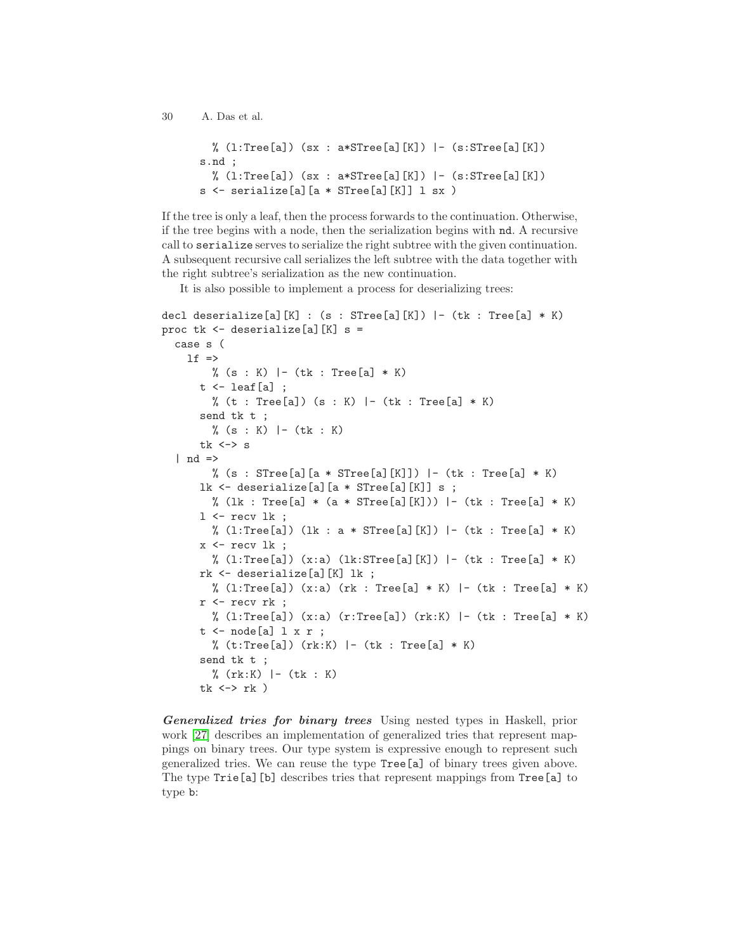```
% (1:Tree[a]) (sx : a*STree[a][K]) | - (s:STree[a][K])s.nd ;
  % (1:Tree[a]) (sx : a*STree[a][K]) | - (s:STree[a][K])s <- serialize[a][a * STree[a][K]] l sx )
```
If the tree is only a leaf, then the process forwards to the continuation. Otherwise, if the tree begins with a node, then the serialization begins with nd. A recursive call to serialize serves to serialize the right subtree with the given continuation. A subsequent recursive call serializes the left subtree with the data together with the right subtree's serialization as the new continuation.

It is also possible to implement a process for deserializing trees:

```
decl deserialize[a][K] : (s : STree[a][K]) |- (tk : Tree[a] * K)proc tk \leq deserialize[a][K] s =
  case s (
    lf \Rightarrow% (s : K) |- (tk : Tree[a] * K)
      t \leq leaf[a] ;
        % (t : Tree[a]) (s : K) \vert - (tk : Tree[a] * K)
      send tk t ;
        \% (s : K) |- (tk : K)
      tk \leq > s| nd \Rightarrow% (s : STree[a][a * STree[a][K]]) |- (tk : Tree[a] * K)
      lk <- deserialize[a][a * STree[a][K]] s ;
        % (1k : Tree[a] * (a * STree[a][K])) |- (tk : Tree[a] * K)
      1 <- recv lk ;
        % (1:Tree[a]) (lk : a * STree[a][K]) |- (tk : Tree[a] * K)
      x \leftarrow recv lk ;
        % (l:Tree[a]) (x:a) (lk:STree[a][K]) |- (tk:Tree[a] * K)rk <- deserialize[a][K] lk ;
        % (1:Tree[a]) (x:a) (rk : Tree[a] * K) |- (tk : Tree[a] * K)
      r <- recv rk ;
        % (1:Tree[a]) (x:a) (r:Tree[a]) (rk:K) |- (tk : Tree[a] * K)
      t \leq - node[a] l \times r;
        % (t:Tree[a]) (rk:K) \vert - (tk : Tree[a] * K)send tk t ;
        \% (rk:K) | - (tk : K)tk <-> rk )
```
Generalized tries for binary trees Using nested types in Haskell, prior work [\[27\]](#page-33-4) describes an implementation of generalized tries that represent mappings on binary trees. Our type system is expressive enough to represent such generalized tries. We can reuse the type Tree[a] of binary trees given above. The type Trie[a][b] describes tries that represent mappings from Tree[a] to type b: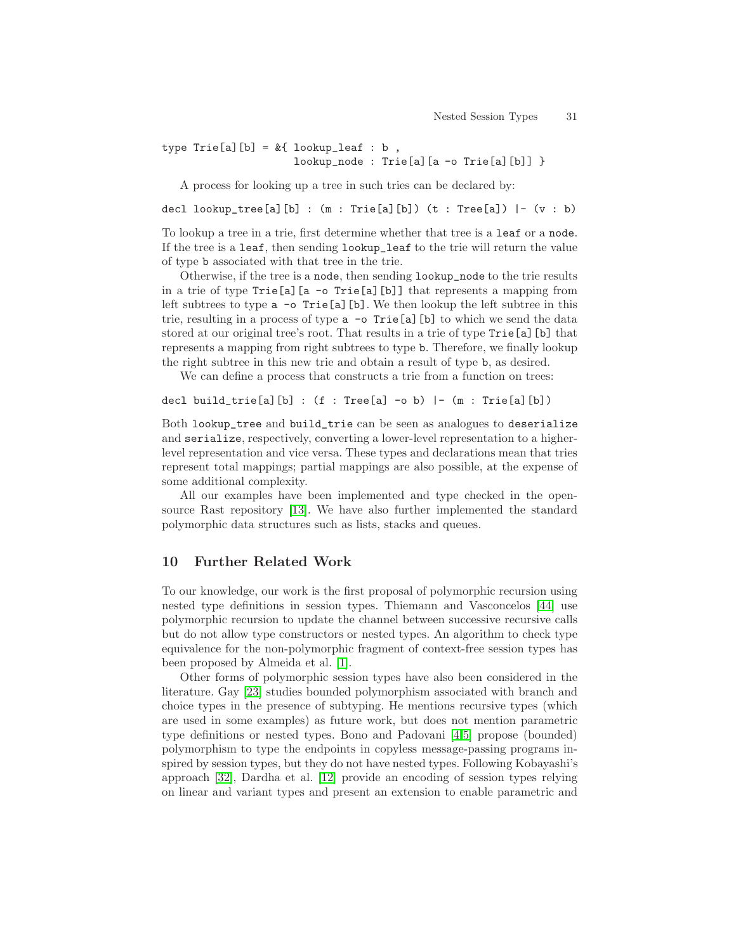type  $Trie[a][b] = &$  lookup\_leaf : b, lookup\_node : Trie[a][a -o Trie[a][b]] }

A process for looking up a tree in such tries can be declared by:

decl lookup\_tree[a][b] :  $(m : Trie[a][b])$   $(t : Tree[a])$   $|- (v : b)$ 

To lookup a tree in a trie, first determine whether that tree is a leaf or a node. If the tree is a leaf, then sending lookup\_leaf to the trie will return the value of type b associated with that tree in the trie.

Otherwise, if the tree is a node, then sending lookup\_node to the trie results in a trie of type Trie[a][a -o Trie[a][b]] that represents a mapping from left subtrees to type  $a \sim \text{Tri}[\bar{a}]$  [b]. We then lookup the left subtree in this trie, resulting in a process of type a -o Trie[a][b] to which we send the data stored at our original tree's root. That results in a trie of type  $\text{Tri}[\mathsf{a}]$  [b] that represents a mapping from right subtrees to type b. Therefore, we finally lookup the right subtree in this new trie and obtain a result of type b, as desired.

We can define a process that constructs a trie from a function on trees:

decl build\_trie[a][b] :  $(f : Tree[a] \neg o b)$   $| - (m : True[a][b])$ 

Both lookup\_tree and build\_trie can be seen as analogues to deserialize and serialize, respectively, converting a lower-level representation to a higherlevel representation and vice versa. These types and declarations mean that tries represent total mappings; partial mappings are also possible, at the expense of some additional complexity.

All our examples have been implemented and type checked in the opensource Rast repository [\[13\]](#page-32-10). We have also further implemented the standard polymorphic data structures such as lists, stacks and queues.

# 10 Further Related Work

To our knowledge, our work is the first proposal of polymorphic recursion using nested type definitions in session types. Thiemann and Vasconcelos [\[44\]](#page-34-2) use polymorphic recursion to update the channel between successive recursive calls but do not allow type constructors or nested types. An algorithm to check type equivalence for the non-polymorphic fragment of context-free session types has been proposed by Almeida et al. [\[1\]](#page-31-0).

Other forms of polymorphic session types have also been considered in the literature. Gay [\[23\]](#page-33-2) studies bounded polymorphism associated with branch and choice types in the presence of subtyping. He mentions recursive types (which are used in some examples) as future work, but does not mention parametric type definitions or nested types. Bono and Padovani [\[4,](#page-32-11)[5\]](#page-32-12) propose (bounded) polymorphism to type the endpoints in copyless message-passing programs inspired by session types, but they do not have nested types. Following Kobayashi's approach [\[32\]](#page-33-15), Dardha et al. [\[12\]](#page-32-13) provide an encoding of session types relying on linear and variant types and present an extension to enable parametric and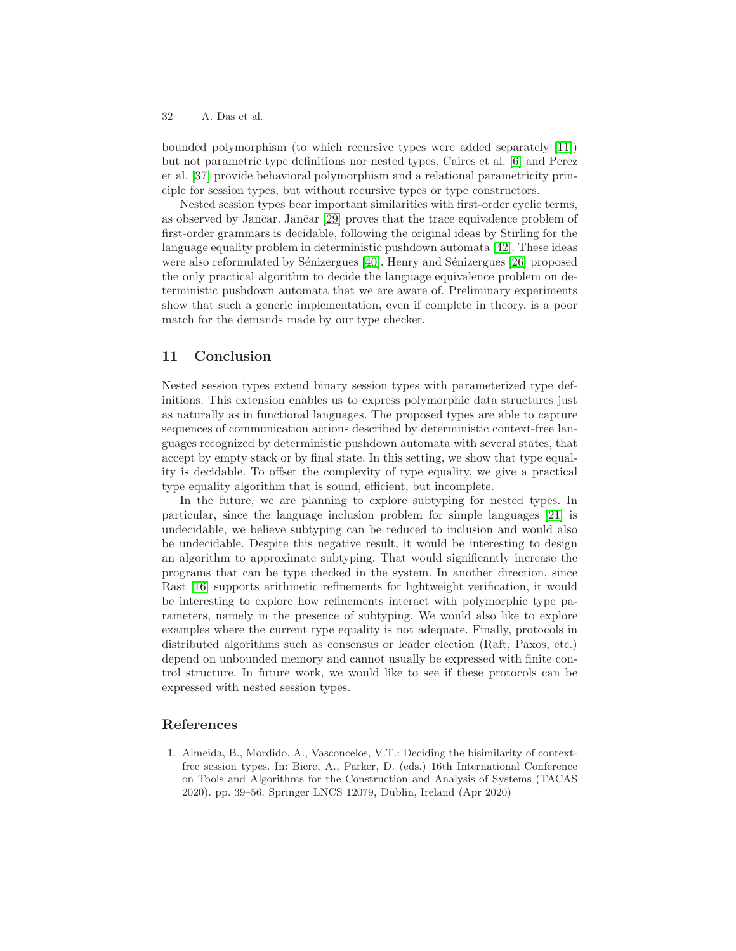bounded polymorphism (to which recursive types were added separately [\[11\]](#page-32-14)) but not parametric type definitions nor nested types. Caires et al. [\[6\]](#page-32-4) and Perez et al. [\[37\]](#page-34-3) provide behavioral polymorphism and a relational parametricity principle for session types, but without recursive types or type constructors.

Nested session types bear important similarities with first-order cyclic terms, as observed by Jančar. Jančar [\[29\]](#page-33-14) proves that the trace equivalence problem of first-order grammars is decidable, following the original ideas by Stirling for the language equality problem in deterministic pushdown automata [\[42\]](#page-34-10). These ideas were also reformulated by Sénizergues  $[40]$ . Henry and Sénizergues  $[26]$  proposed the only practical algorithm to decide the language equivalence problem on deterministic pushdown automata that we are aware of. Preliminary experiments show that such a generic implementation, even if complete in theory, is a poor match for the demands made by our type checker.

# 11 Conclusion

Nested session types extend binary session types with parameterized type definitions. This extension enables us to express polymorphic data structures just as naturally as in functional languages. The proposed types are able to capture sequences of communication actions described by deterministic context-free languages recognized by deterministic pushdown automata with several states, that accept by empty stack or by final state. In this setting, we show that type equality is decidable. To offset the complexity of type equality, we give a practical type equality algorithm that is sound, efficient, but incomplete.

In the future, we are planning to explore subtyping for nested types. In particular, since the language inclusion problem for simple languages [\[21\]](#page-33-17) is undecidable, we believe subtyping can be reduced to inclusion and would also be undecidable. Despite this negative result, it would be interesting to design an algorithm to approximate subtyping. That would significantly increase the programs that can be type checked in the system. In another direction, since Rast [\[16\]](#page-32-2) supports arithmetic refinements for lightweight verification, it would be interesting to explore how refinements interact with polymorphic type parameters, namely in the presence of subtyping. We would also like to explore examples where the current type equality is not adequate. Finally, protocols in distributed algorithms such as consensus or leader election (Raft, Paxos, etc.) depend on unbounded memory and cannot usually be expressed with finite control structure. In future work, we would like to see if these protocols can be expressed with nested session types.

## References

<span id="page-31-0"></span>1. Almeida, B., Mordido, A., Vasconcelos, V.T.: Deciding the bisimilarity of contextfree session types. In: Biere, A., Parker, D. (eds.) 16th International Conference on Tools and Algorithms for the Construction and Analysis of Systems (TACAS 2020). pp. 39–56. Springer LNCS 12079, Dublin, Ireland (Apr 2020)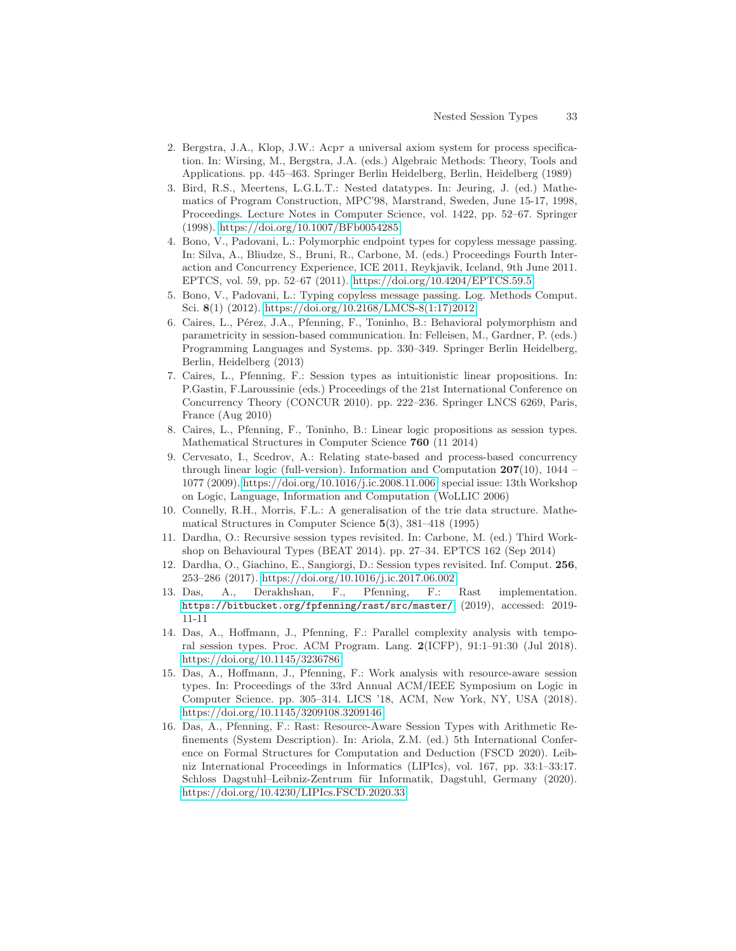- <span id="page-32-7"></span>2. Bergstra, J.A., Klop, J.W.: Acpτ a universal axiom system for process specification. In: Wirsing, M., Bergstra, J.A. (eds.) Algebraic Methods: Theory, Tools and Applications. pp. 445–463. Springer Berlin Heidelberg, Berlin, Heidelberg (1989)
- <span id="page-32-3"></span>3. Bird, R.S., Meertens, L.G.L.T.: Nested datatypes. In: Jeuring, J. (ed.) Mathematics of Program Construction, MPC'98, Marstrand, Sweden, June 15-17, 1998, Proceedings. Lecture Notes in Computer Science, vol. 1422, pp. 52–67. Springer (1998).<https://doi.org/10.1007/BFb0054285>
- <span id="page-32-11"></span>4. Bono, V., Padovani, L.: Polymorphic endpoint types for copyless message passing. In: Silva, A., Bliudze, S., Bruni, R., Carbone, M. (eds.) Proceedings Fourth Interaction and Concurrency Experience, ICE 2011, Reykjavik, Iceland, 9th June 2011. EPTCS, vol. 59, pp. 52–67 (2011).<https://doi.org/10.4204/EPTCS.59.5>
- <span id="page-32-12"></span>5. Bono, V., Padovani, L.: Typing copyless message passing. Log. Methods Comput. Sci. 8(1) (2012). [https://doi.org/10.2168/LMCS-8\(1:17\)2012](https://doi.org/10.2168/LMCS-8(1:17)2012)
- <span id="page-32-4"></span>6. Caires, L., Pérez, J.A., Pfenning, F., Toninho, B.: Behavioral polymorphism and parametricity in session-based communication. In: Felleisen, M., Gardner, P. (eds.) Programming Languages and Systems. pp. 330–349. Springer Berlin Heidelberg, Berlin, Heidelberg (2013)
- <span id="page-32-0"></span>7. Caires, L., Pfenning, F.: Session types as intuitionistic linear propositions. In: P.Gastin, F.Laroussinie (eds.) Proceedings of the 21st International Conference on Concurrency Theory (CONCUR 2010). pp. 222–236. Springer LNCS 6269, Paris, France (Aug 2010)
- <span id="page-32-1"></span>8. Caires, L., Pfenning, F., Toninho, B.: Linear logic propositions as session types. Mathematical Structures in Computer Science 760 (11 2014)
- <span id="page-32-6"></span>9. Cervesato, I., Scedrov, A.: Relating state-based and process-based concurrency through linear logic (full-version). Information and Computation  $207(10)$ ,  $1044$  – 1077 (2009). [https://doi.org/10.1016/j.ic.2008.11.006,](https://doi.org/10.1016/j.ic.2008.11.006) special issue: 13th Workshop on Logic, Language, Information and Computation (WoLLIC 2006)
- <span id="page-32-5"></span>10. Connelly, R.H., Morris, F.L.: A generalisation of the trie data structure. Mathematical Structures in Computer Science 5(3), 381–418 (1995)
- <span id="page-32-14"></span>11. Dardha, O.: Recursive session types revisited. In: Carbone, M. (ed.) Third Workshop on Behavioural Types (BEAT 2014). pp. 27–34. EPTCS 162 (Sep 2014)
- <span id="page-32-13"></span>12. Dardha, O., Giachino, E., Sangiorgi, D.: Session types revisited. Inf. Comput. 256, 253–286 (2017).<https://doi.org/10.1016/j.ic.2017.06.002>
- <span id="page-32-10"></span>13. Das, A., Derakhshan, F., Pfenning, F.: Rast implementation. <https://bitbucket.org/fpfenning/rast/src/master/> (2019), accessed: 2019- 11-11
- <span id="page-32-9"></span>14. Das, A., Hoffmann, J., Pfenning, F.: Parallel complexity analysis with temporal session types. Proc. ACM Program. Lang. 2(ICFP), 91:1–91:30 (Jul 2018). <https://doi.org/10.1145/3236786>
- <span id="page-32-8"></span>15. Das, A., Hoffmann, J., Pfenning, F.: Work analysis with resource-aware session types. In: Proceedings of the 33rd Annual ACM/IEEE Symposium on Logic in Computer Science. pp. 305–314. LICS '18, ACM, New York, NY, USA (2018). <https://doi.org/10.1145/3209108.3209146>
- <span id="page-32-2"></span>16. Das, A., Pfenning, F.: Rast: Resource-Aware Session Types with Arithmetic Refinements (System Description). In: Ariola, Z.M. (ed.) 5th International Conference on Formal Structures for Computation and Deduction (FSCD 2020). Leibniz International Proceedings in Informatics (LIPIcs), vol. 167, pp. 33:1–33:17. Schloss Dagstuhl–Leibniz-Zentrum für Informatik, Dagstuhl, Germany (2020). <https://doi.org/10.4230/LIPIcs.FSCD.2020.33>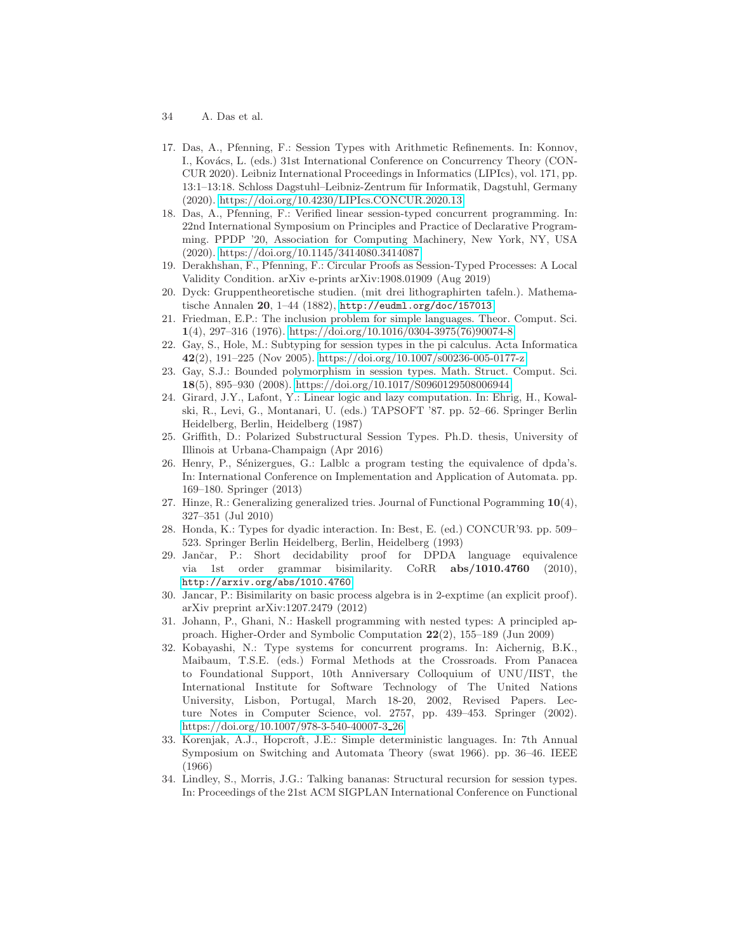- 34 A. Das et al.
- <span id="page-33-7"></span>17. Das, A., Pfenning, F.: Session Types with Arithmetic Refinements. In: Konnov, I., Kovács, L. (eds.) 31st International Conference on Concurrency Theory (CON-CUR 2020). Leibniz International Proceedings in Informatics (LIPIcs), vol. 171, pp. 13:1–13:18. Schloss Dagstuhl–Leibniz-Zentrum für Informatik, Dagstuhl, Germany (2020).<https://doi.org/10.4230/LIPIcs.CONCUR.2020.13>
- <span id="page-33-8"></span>18. Das, A., Pfenning, F.: Verified linear session-typed concurrent programming. In: 22nd International Symposium on Principles and Practice of Declarative Programming. PPDP '20, Association for Computing Machinery, New York, NY, USA (2020).<https://doi.org/10.1145/3414080.3414087>
- <span id="page-33-13"></span>19. Derakhshan, F., Pfenning, F.: Circular Proofs as Session-Typed Processes: A Local Validity Condition. arXiv e-prints arXiv:1908.01909 (Aug 2019)
- <span id="page-33-9"></span>20. Dyck: Gruppentheoretische studien. (mit drei lithographirten tafeln.). Mathematische Annalen 20, 1–44 (1882), <http://eudml.org/doc/157013>
- <span id="page-33-17"></span>21. Friedman, E.P.: The inclusion problem for simple languages. Theor. Comput. Sci. 1(4), 297–316 (1976). [https://doi.org/10.1016/0304-3975\(76\)90074-8](https://doi.org/10.1016/0304-3975(76)90074-8)
- <span id="page-33-6"></span>22. Gay, S., Hole, M.: Subtyping for session types in the pi calculus. Acta Informatica 42(2), 191–225 (Nov 2005).<https://doi.org/10.1007/s00236-005-0177-z>
- <span id="page-33-2"></span>23. Gay, S.J.: Bounded polymorphism in session types. Math. Struct. Comput. Sci. 18(5), 895–930 (2008).<https://doi.org/10.1017/S0960129508006944>
- <span id="page-33-11"></span>24. Girard, J.Y., Lafont, Y.: Linear logic and lazy computation. In: Ehrig, H., Kowalski, R., Levi, G., Montanari, U. (eds.) TAPSOFT '87. pp. 52–66. Springer Berlin Heidelberg, Berlin, Heidelberg (1987)
- <span id="page-33-1"></span>25. Griffith, D.: Polarized Substructural Session Types. Ph.D. thesis, University of Illinois at Urbana-Champaign (Apr 2016)
- <span id="page-33-16"></span>26. Henry, P., Sénizergues, G.: Lalblc a program testing the equivalence of dpda's. In: International Conference on Implementation and Application of Automata. pp. 169–180. Springer (2013)
- <span id="page-33-4"></span>27. Hinze, R.: Generalizing generalized tries. Journal of Functional Pogramming  $10(4)$ , 327–351 (Jul 2010)
- <span id="page-33-0"></span>28. Honda, K.: Types for dyadic interaction. In: Best, E. (ed.) CONCUR'93. pp. 509– 523. Springer Berlin Heidelberg, Berlin, Heidelberg (1993)
- <span id="page-33-14"></span>29. Janˇcar, P.: Short decidability proof for DPDA language equivalence via 1st order grammar bisimilarity. CoRR abs/1010.4760 (2010), <http://arxiv.org/abs/1010.4760>
- <span id="page-33-5"></span>30. Jancar, P.: Bisimilarity on basic process algebra is in 2-exptime (an explicit proof). arXiv preprint arXiv:1207.2479 (2012)
- <span id="page-33-3"></span>31. Johann, P., Ghani, N.: Haskell programming with nested types: A principled approach. Higher-Order and Symbolic Computation 22(2), 155–189 (Jun 2009)
- <span id="page-33-15"></span>32. Kobayashi, N.: Type systems for concurrent programs. In: Aichernig, B.K., Maibaum, T.S.E. (eds.) Formal Methods at the Crossroads. From Panacea to Foundational Support, 10th Anniversary Colloquium of UNU/IIST, the International Institute for Software Technology of The United Nations University, Lisbon, Portugal, March 18-20, 2002, Revised Papers. Lecture Notes in Computer Science, vol. 2757, pp. 439–453. Springer (2002). [https://doi.org/10.1007/978-3-540-40007-3](https://doi.org/10.1007/978-3-540-40007-3_26) 26
- <span id="page-33-10"></span>33. Korenjak, A.J., Hopcroft, J.E.: Simple deterministic languages. In: 7th Annual Symposium on Switching and Automata Theory (swat 1966). pp. 36–46. IEEE (1966)
- <span id="page-33-12"></span>34. Lindley, S., Morris, J.G.: Talking bananas: Structural recursion for session types. In: Proceedings of the 21st ACM SIGPLAN International Conference on Functional